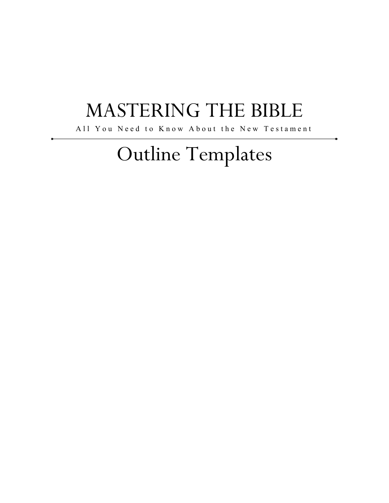## MASTERING THE BIBLE

All You Need to Know About the New Testament

# Outline Templates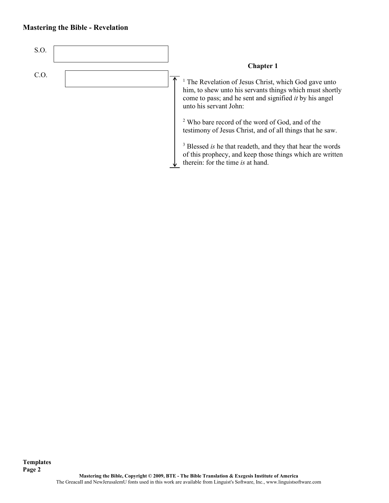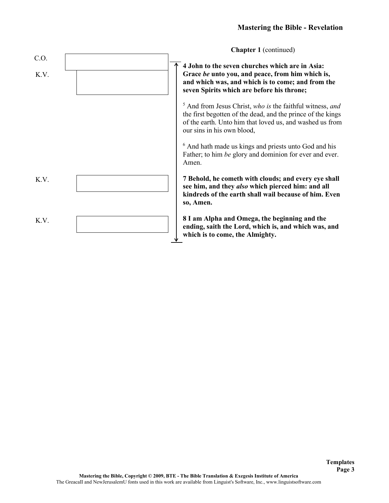**Chapter 1** (continued)

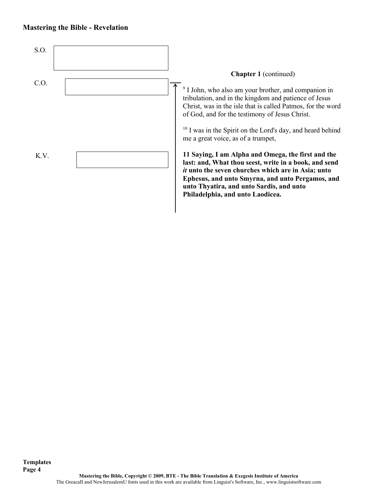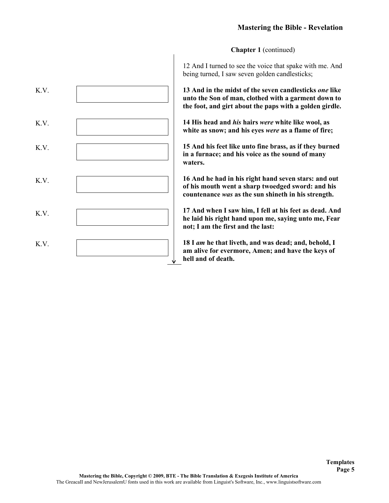**Chapter 1** (continued)



12 And I turned to see the voice that spake with me. And being turned, I saw seven golden candlesticks;

**13 And in the midst of the seven candlesticks** *one* **like unto the Son of man, clothed with a garment down to the foot, and girt about the paps with a golden girdle.**

**14 His head and** *his* **hairs** *were* **white like wool, as white as snow; and his eyes** *were* **as a flame of fire;**

**15 And his feet like unto fine brass, as if they burned in a furnace; and his voice as the sound of many** 

**16 And he had in his right hand seven stars: and out of his mouth went a sharp twoedged sword: and his countenance** *was* **as the sun shineth in his strength.**

**17 And when I saw him, I fell at his feet as dead. And he laid his right hand upon me, saying unto me, Fear not; I am the first and the last:**

**18 I** *am* **he that liveth, and was dead; and, behold, I am alive for evermore, Amen; and have the keys of hell and of death.**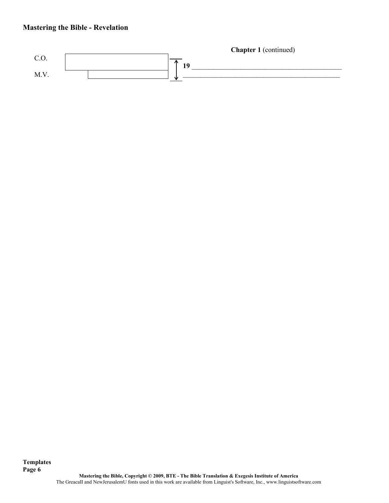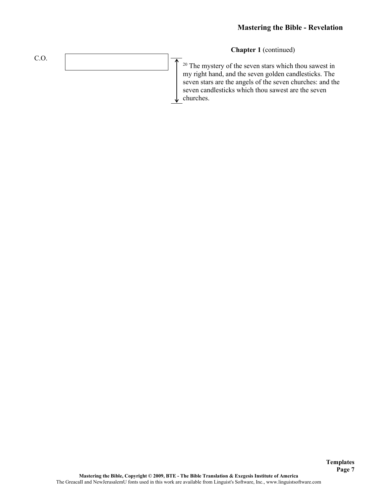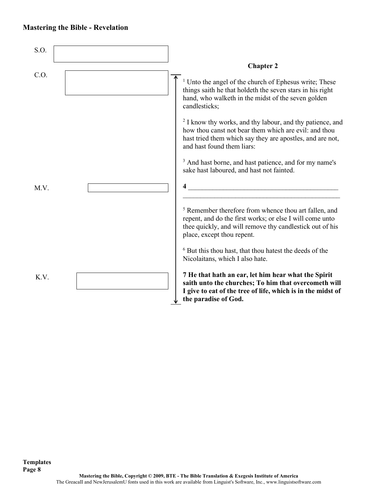| S.O. |                                                                                                                                                                                                                          |
|------|--------------------------------------------------------------------------------------------------------------------------------------------------------------------------------------------------------------------------|
|      | <b>Chapter 2</b>                                                                                                                                                                                                         |
| C.O. | <sup>1</sup> Unto the angel of the church of Ephesus write; These<br>things saith he that holdeth the seven stars in his right<br>hand, who walketh in the midst of the seven golden<br>candlesticks;                    |
|      | <sup>2</sup> I know thy works, and thy labour, and thy patience, and<br>how thou canst not bear them which are evil: and thou<br>hast tried them which say they are apostles, and are not,<br>and hast found them liars: |
|      | <sup>3</sup> And hast borne, and hast patience, and for my name's<br>sake hast laboured, and hast not fainted.                                                                                                           |
| M.V. |                                                                                                                                                                                                                          |
|      | <sup>5</sup> Remember therefore from whence thou art fallen, and<br>repent, and do the first works; or else I will come unto<br>thee quickly, and will remove thy candlestick out of his<br>place, except thou repent.   |
|      | <sup>6</sup> But this thou hast, that thou hatest the deeds of the<br>Nicolaitans, which I also hate.                                                                                                                    |
| K.V. | 7 He that hath an ear, let him hear what the Spirit<br>saith unto the churches; To him that overcometh will<br>I give to eat of the tree of life, which is in the midst of<br>the paradise of God.                       |

**Templates Page 8**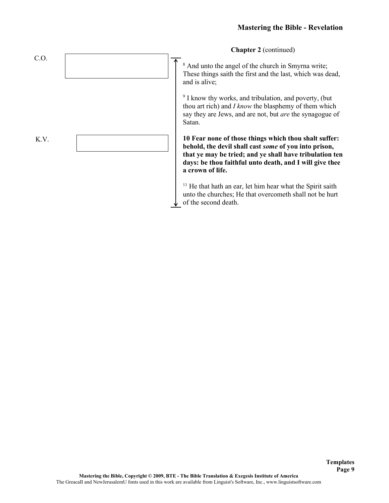**Chapter 2** (continued)

<sup>8</sup> And unto the angel of the church in Smyrna write; These things saith the first and the last, which was dead, and is alive;

<sup>9</sup> I know thy works, and tribulation, and poverty, (but thou art rich) and *I know* the blasphemy of them which say they are Jews, and are not, but *are* the synagogue of Satan.

**10 Fear none of those things which thou shalt suffer: behold, the devil shall cast** *some* **of you into prison, that ye may be tried; and ye shall have tribulation ten days: be thou faithful unto death, and I will give thee a crown of life.**

<sup>11</sup> He that hath an ear, let him hear what the Spirit saith unto the churches; He that overcometh shall not be hurt of the second death.

C.O. K.V.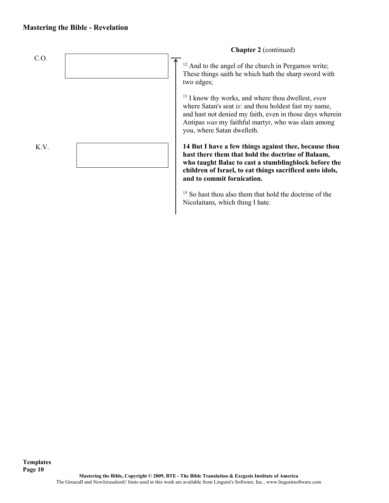

<sup>15</sup> So hast thou also them that hold the doctrine of the Nicolaitans, which thing I hate.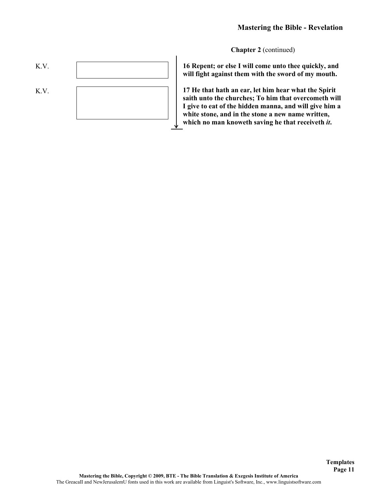**Chapter 2** (continued)



**16 Repent; or else I will come unto thee quickly, and will fight against them with the sword of my mouth.**

**17 He that hath an ear, let him hear what the Spirit saith unto the churches; To him that overcometh will I give to eat of the hidden manna, and will give him a white stone, and in the stone a new name written, which no man knoweth saving he that receiveth** *it***.**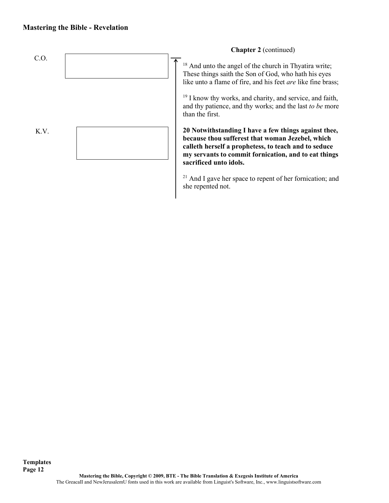

 $21$  And I gave her space to repent of her fornication; and she repented not.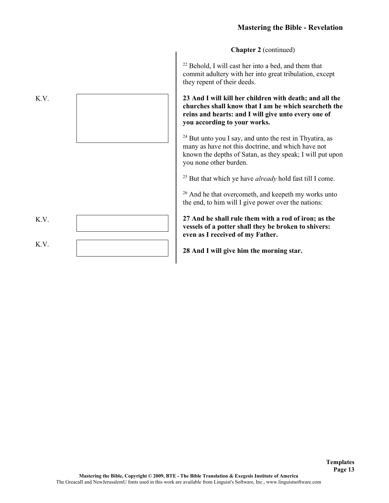**Chapter 2** (continued)

<sup>22</sup> Behold, I will cast her into a bed, and them that commit adultery with her into great tribulation, except they repent of their deeds.

**23 And I will kill her children with death; and all the churches shall know that I am he which searcheth the reins and hearts: and I will give unto every one of you according to your works.**

 $24$  But unto you I say, and unto the rest in Thyatira, as many as have not this doctrine, and which have not known the depths of Satan, as they speak; I will put upon you none other burden.

<sup>25</sup> But that which ye have *already* hold fast till I come.

<sup>26</sup> And he that overcometh, and keepeth my works unto the end, to him will I give power over the nations:

**27 And he shall rule them with a rod of iron; as the vessels of a potter shall they be broken to shivers: even as I received of my Father.**

> **Templates Page 13**

**28 And I will give him the morning star.**

K.V. K.V. K.V.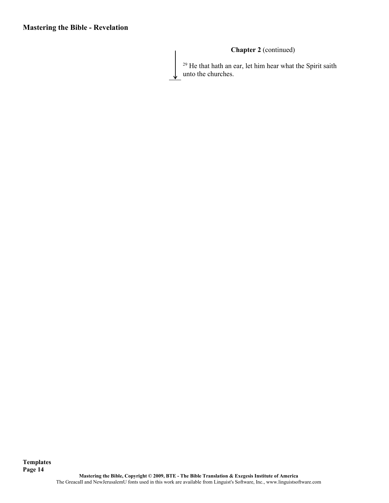## **Chapter 2** (continued)

 $29$  He that hath an ear, let him hear what the Spirit saith unto the churches.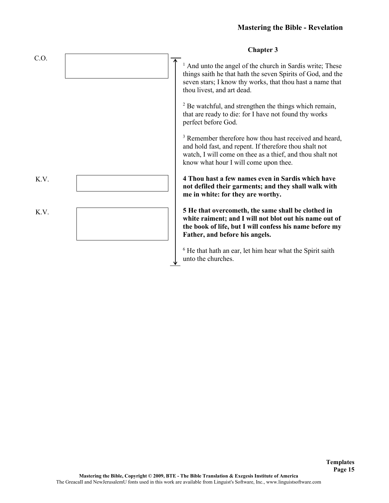|      | <b>Chapter 3</b>                                                                                                                                                                                                                  |
|------|-----------------------------------------------------------------------------------------------------------------------------------------------------------------------------------------------------------------------------------|
| C.O. | And unto the angel of the church in Sardis write; These<br>things saith he that hath the seven Spirits of God, and the<br>seven stars; I know thy works, that thou hast a name that<br>thou livest, and art dead.                 |
|      | <sup>2</sup> Be watchful, and strengthen the things which remain,<br>that are ready to die: for I have not found thy works<br>perfect before God.                                                                                 |
|      | <sup>3</sup> Remember therefore how thou hast received and heard,<br>and hold fast, and repent. If therefore thou shalt not<br>watch, I will come on thee as a thief, and thou shalt not<br>know what hour I will come upon thee. |
| K.V. | 4 Thou hast a few names even in Sardis which have<br>not defiled their garments; and they shall walk with<br>me in white: for they are worthy.                                                                                    |
| K.V. | 5 He that overcometh, the same shall be clothed in<br>white raiment; and I will not blot out his name out of<br>the book of life, but I will confess his name before my<br>Father, and before his angels.                         |
|      | $6$ He that hath an ear, let him hear what the Spirit saith<br>unto the churches.                                                                                                                                                 |

## **Chapter 3**

**Templates Page 15**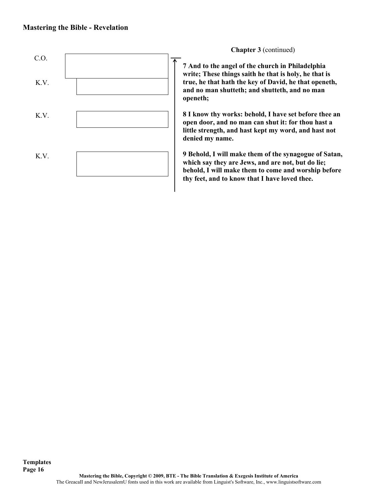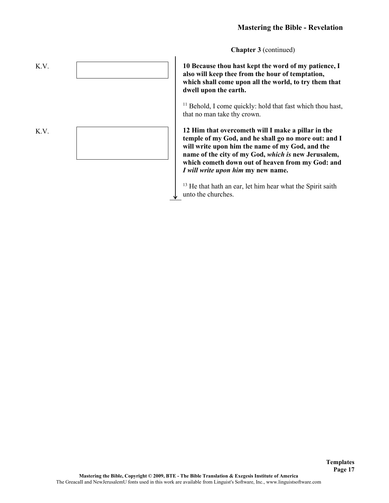**Chapter 3** (continued)

**10 Because thou hast kept the word of my patience, I also will keep thee from the hour of temptation, which shall come upon all the world, to try them that dwell upon the earth.**

<sup>11</sup> Behold, I come quickly: hold that fast which thou hast, that no man take thy crown.

**12 Him that overcometh will I make a pillar in the temple of my God, and he shall go no more out: and I will write upon him the name of my God, and the name of the city of my God,** *which is* **new Jerusalem, which cometh down out of heaven from my God: and**  *I will write upon him* **my new name.**

<sup>13</sup> He that hath an ear, let him hear what the Spirit saith unto the churches.

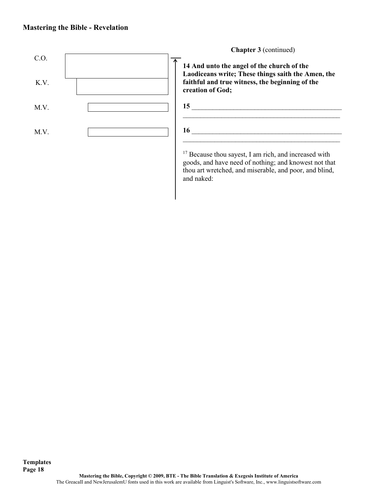

goods, and have need of nothing; and knowest not that thou art wretched, and miserable, and poor, and blind, and naked: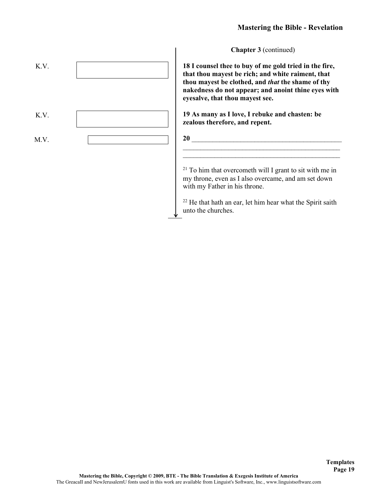**Chapter 3** (continued)

**18 I counsel thee to buy of me gold tried in the fire, that thou mayest be rich; and white raiment, that thou mayest be clothed, and** *that* **the shame of thy nakedness do not appear; and anoint thine eyes with eyesalve, that thou mayest see.**

**19 As many as I love, I rebuke and chasten: be zealous therefore, and repent.**



 $21$  To him that overcometh will I grant to sit with me in my throne, even as I also overcame, and am set down with my Father in his throne.

\_\_\_\_\_\_\_\_\_\_\_\_\_\_\_\_\_\_\_\_\_\_\_\_\_\_\_\_\_\_\_\_\_\_\_\_\_\_\_\_\_\_\_\_\_

<sup>22</sup> He that hath an ear, let him hear what the Spirit saith unto the churches.

K.V. K.V. M.V.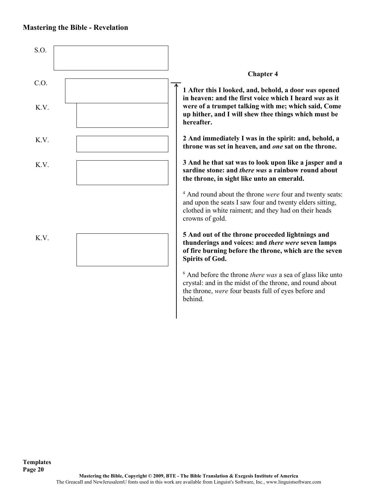

**Templates Page 20**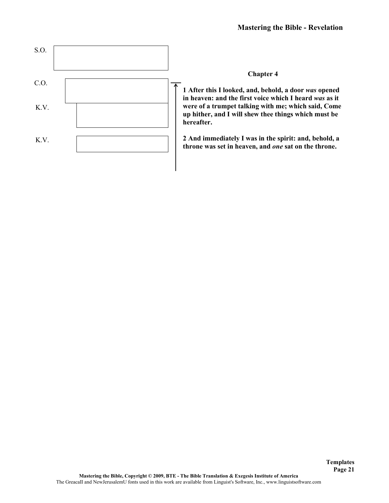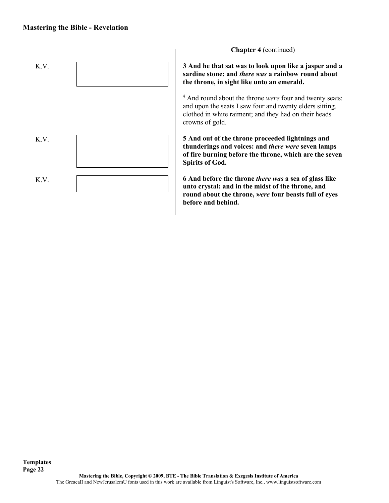

**Chapter 4** (continued)

**3 And he that sat was to look upon like a jasper and a sardine stone: and** *there was* **a rainbow round about the throne, in sight like unto an emerald.**

<sup>4</sup> And round about the throne *were* four and twenty seats: and upon the seats I saw four and twenty elders sitting, clothed in white raiment; and they had on their heads crowns of gold.

**5 And out of the throne proceeded lightnings and thunderings and voices: and** *there were* **seven lamps of fire burning before the throne, which are the seven Spirits of God.**

**6 And before the throne** *there was* **a sea of glass like unto crystal: and in the midst of the throne, and round about the throne,** *were* **four beasts full of eyes before and behind.**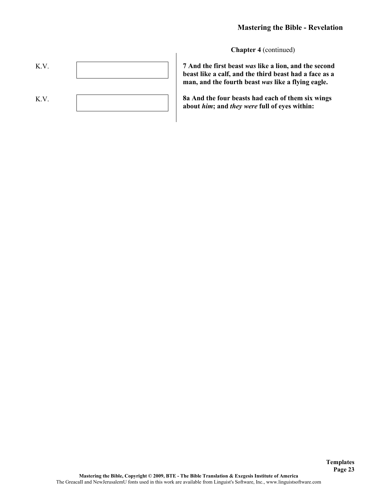**Chapter 4** (continued)



**7 And the first beast** *was* **like a lion, and the second beast like a calf, and the third beast had a face as a man, and the fourth beast** *was* **like a flying eagle.**

**8a And the four beasts had each of them six wings about** *him***; and** *they were* **full of eyes within:**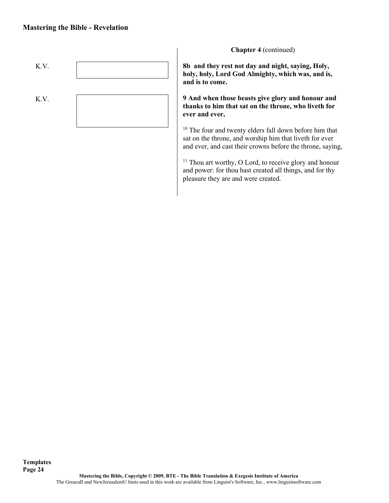

**Chapter 4** (continued)

**8b and they rest not day and night, saying, Holy, holy, holy, Lord God Almighty, which was, and is, and is to come.**

**9 And when those beasts give glory and honour and thanks to him that sat on the throne, who liveth for ever and ever,**

<sup>10</sup> The four and twenty elders fall down before him that sat on the throne, and worship him that liveth for ever and ever, and cast their crowns before the throne, saying,

<sup>11</sup> Thou art worthy, O Lord, to receive glory and honour and power: for thou hast created all things, and for thy pleasure they are and were created.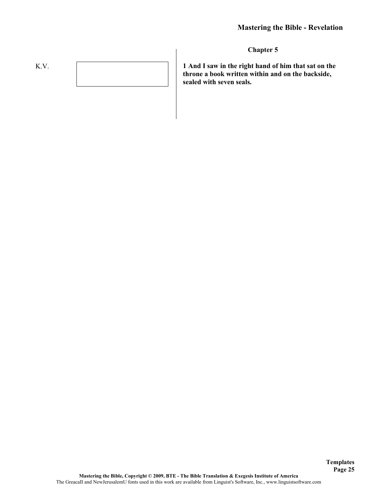# K.V.

**Chapter 5**

**1 And I saw in the right hand of him that sat on the throne a book written within and on the backside, sealed with seven seals.**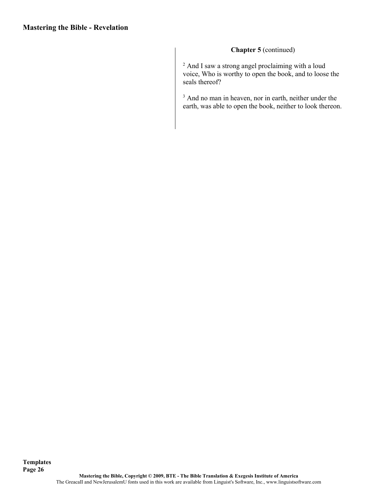## **Chapter 5** (continued)

 $2$  And I saw a strong angel proclaiming with a loud voice, Who is worthy to open the book, and to loose the seals thereof?

<sup>3</sup> And no man in heaven, nor in earth, neither under the earth, was able to open the book, neither to look thereon.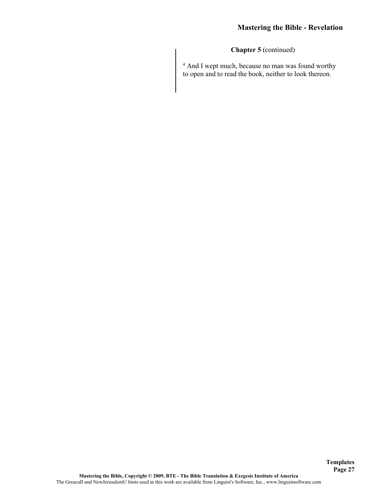**Chapter 5** (continued)

<sup>4</sup> And I wept much, because no man was found worthy to open and to read the book, neither to look thereon.

**Templates Page 27**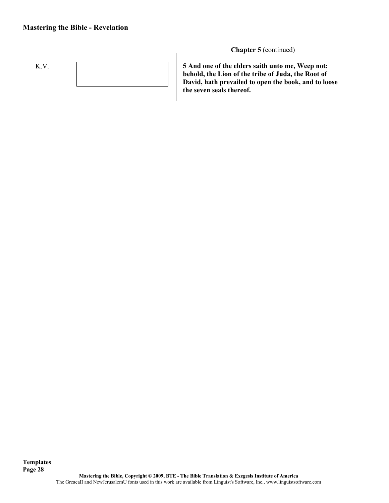

**Chapter 5** (continued)

**5 And one of the elders saith unto me, Weep not: behold, the Lion of the tribe of Juda, the Root of David, hath prevailed to open the book, and to loose the seven seals thereof.**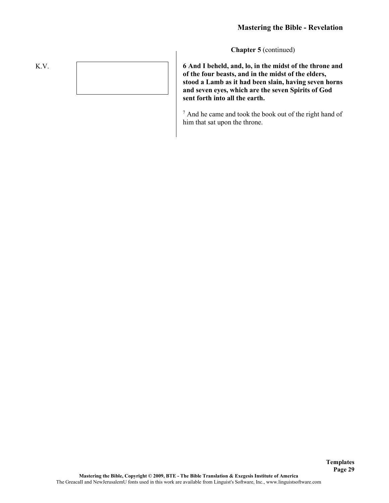**Templates Page 29**

**Chapter 5** (continued)

**6 And I beheld, and, lo, in the midst of the throne and of the four beasts, and in the midst of the elders, stood a Lamb as it had been slain, having seven horns and seven eyes, which are the seven Spirits of God sent forth into all the earth.**

<sup>7</sup> And he came and took the book out of the right hand of him that sat upon the throne.

K.V.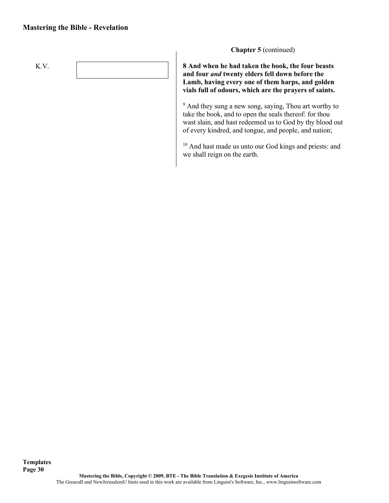

**Chapter 5** (continued)

**8 And when he had taken the book, the four beasts and four** *and* **twenty elders fell down before the Lamb, having every one of them harps, and golden vials full of odours, which are the prayers of saints.**

<sup>9</sup> And they sung a new song, saying, Thou art worthy to take the book, and to open the seals thereof: for thou wast slain, and hast redeemed us to God by thy blood out of every kindred, and tongue, and people, and nation;

<sup>10</sup> And hast made us unto our God kings and priests: and we shall reign on the earth.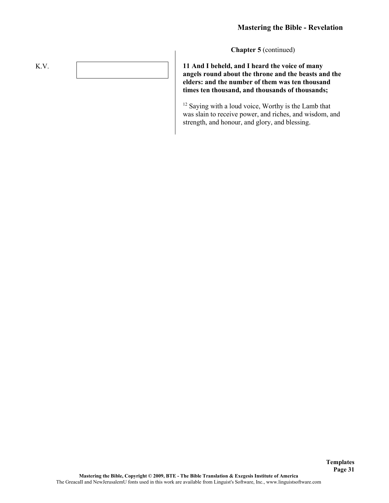**Templates Page 31**

**Chapter 5** (continued)

**11 And I beheld, and I heard the voice of many angels round about the throne and the beasts and the elders: and the number of them was ten thousand times ten thousand, and thousands of thousands;**

<sup>12</sup> Saying with a loud voice, Worthy is the Lamb that was slain to receive power, and riches, and wisdom, and strength, and honour, and glory, and blessing.

K.V.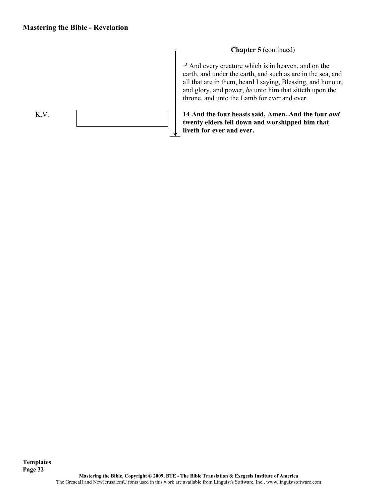**Templates**

# K.V.

#### **Chapter 5** (continued)

<sup>13</sup> And every creature which is in heaven, and on the earth, and under the earth, and such as are in the sea, and all that are in them, heard I saying, Blessing, and honour, and glory, and power, *be* unto him that sitteth upon the throne, and unto the Lamb for ever and ever.

**14 And the four beasts said, Amen. And the four** *and*  **twenty elders fell down and worshipped him that liveth for ever and ever.**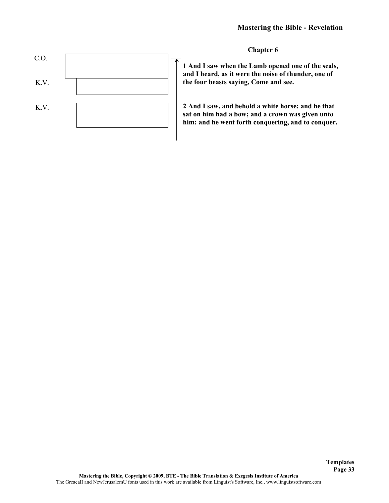

**Chapter 6**

**1 And I saw when the Lamb opened one of the seals, and I heard, as it were the noise of thunder, one of the four beasts saying, Come and see.**

**2 And I saw, and behold a white horse: and he that sat on him had a bow; and a crown was given unto him: and he went forth conquering, and to conquer.**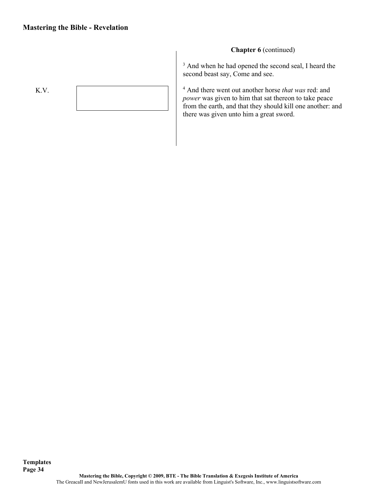

## **Chapter 6** (continued)

<sup>3</sup> And when he had opened the second seal, I heard the second beast say, Come and see.

<sup>4</sup> And there went out another horse *that was* red: and *power* was given to him that sat thereon to take peace from the earth, and that they should kill one another: and there was given unto him a great sword.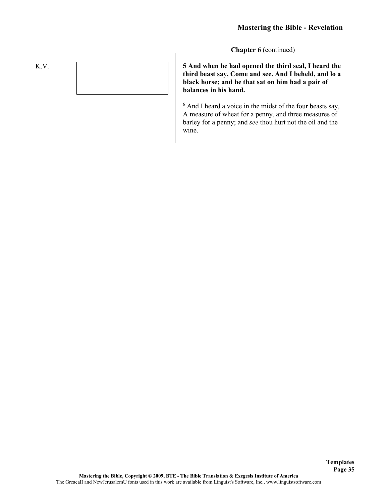**Templates Page 35**

**Chapter 6** (continued)

**5 And when he had opened the third seal, I heard the third beast say, Come and see. And I beheld, and lo a black horse; and he that sat on him had a pair of balances in his hand.**

<sup>6</sup> And I heard a voice in the midst of the four beasts say, A measure of wheat for a penny, and three measures of barley for a penny; and *see* thou hurt not the oil and the wine.

K.V.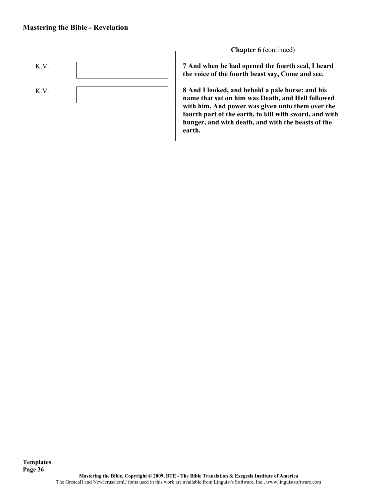

**Chapter 6** (continued)

**7 And when he had opened the fourth seal, I heard the voice of the fourth beast say, Come and see.**

**8 And I looked, and behold a pale horse: and his name that sat on him was Death, and Hell followed with him. And power was given unto them over the fourth part of the earth, to kill with sword, and with hunger, and with death, and with the beasts of the earth.**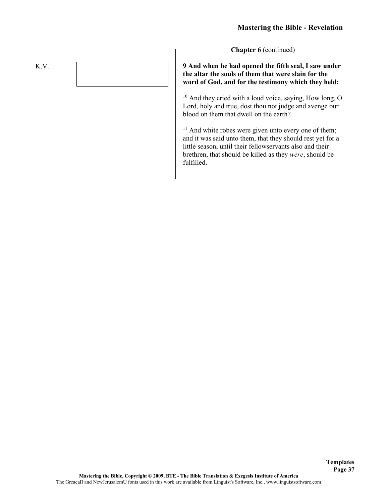**Chapter 6** (continued)

#### **9 And when he had opened the fifth seal, I saw under the altar the souls of them that were slain for the word of God, and for the testimony which they held:**

<sup>10</sup> And they cried with a loud voice, saying, How long, O Lord, holy and true, dost thou not judge and avenge our blood on them that dwell on the earth?

 $11$  And white robes were given unto every one of them; and it was said unto them, that they should rest yet for a little season, until their fellowservants also and their brethren, that should be killed as they *were*, should be fulfilled.

K.V.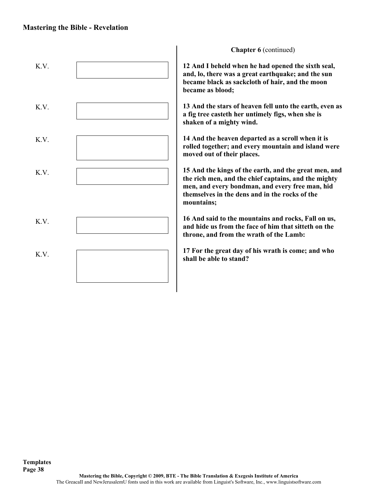#### **Mastering the Bible - Revelation**



**Chapter 6** (continued)

**12 And I beheld when he had opened the sixth seal, and, lo, there was a great earthquake; and the sun became black as sackcloth of hair, and the moon became as blood;**

**13 And the stars of heaven fell unto the earth, even as a fig tree casteth her untimely figs, when she is shaken of a mighty wind.**

**14 And the heaven departed as a scroll when it is rolled together; and every mountain and island were moved out of their places.**

**15 And the kings of the earth, and the great men, and the rich men, and the chief captains, and the mighty men, and every bondman, and every free man, hid themselves in the dens and in the rocks of the** 

**16 And said to the mountains and rocks, Fall on us, and hide us from the face of him that sitteth on the throne, and from the wrath of the Lamb:**

**17 For the great day of his wrath is come; and who shall be able to stand?**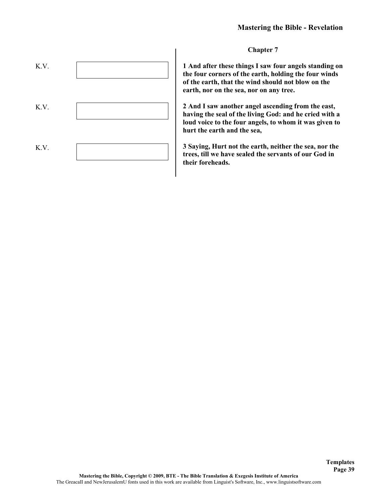

**Chapter 7**

**1 And after these things I saw four angels standing on the four corners of the earth, holding the four winds of the earth, that the wind should not blow on the earth, nor on the sea, nor on any tree.**

**2 And I saw another angel ascending from the east, having the seal of the living God: and he cried with a loud voice to the four angels, to whom it was given to hurt the earth and the sea,**

**3 Saying, Hurt not the earth, neither the sea, nor the trees, till we have sealed the servants of our God in their foreheads.**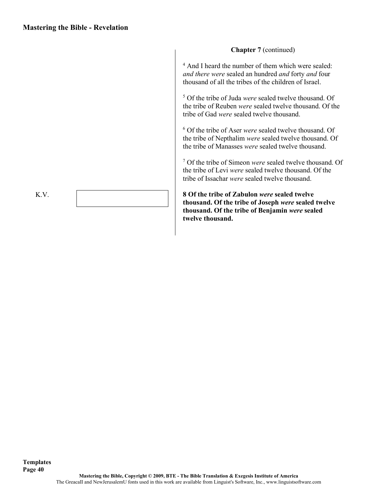**Chapter 7** (continued) <sup>4</sup> And I heard the number of them which were sealed: *and there were* sealed an hundred *and* forty *and* four thousand of all the tribes of the children of Israel. <sup>5</sup> Of the tribe of Juda *were* sealed twelve thousand. Of the tribe of Reuben *were* sealed twelve thousand. Of the tribe of Gad *were* sealed twelve thousand.

<sup>6</sup> Of the tribe of Aser *were* sealed twelve thousand. Of the tribe of Nepthalim *were* sealed twelve thousand. Of the tribe of Manasses *were* sealed twelve thousand.

<sup>7</sup> Of the tribe of Simeon *were* sealed twelve thousand. Of the tribe of Levi *were* sealed twelve thousand. Of the tribe of Issachar *were* sealed twelve thousand.

**8 Of the tribe of Zabulon** *were* **sealed twelve thousand. Of the tribe of Joseph** *were* **sealed twelve thousand. Of the tribe of Benjamin** *were* **sealed twelve thousand.**

K.V.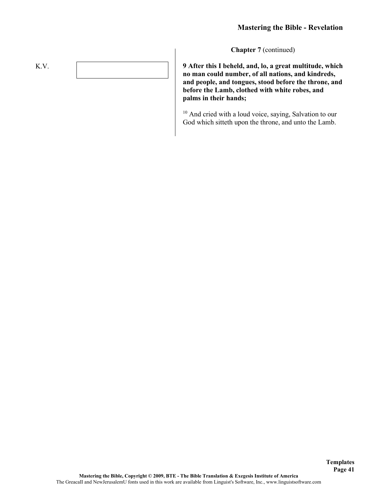**Templates Page 41**

**Chapter 7** (continued)

**9 After this I beheld, and, lo, a great multitude, which no man could number, of all nations, and kindreds, and people, and tongues, stood before the throne, and before the Lamb, clothed with white robes, and palms in their hands;**

<sup>10</sup> And cried with a loud voice, saying, Salvation to our God which sitteth upon the throne, and unto the Lamb.

K.V.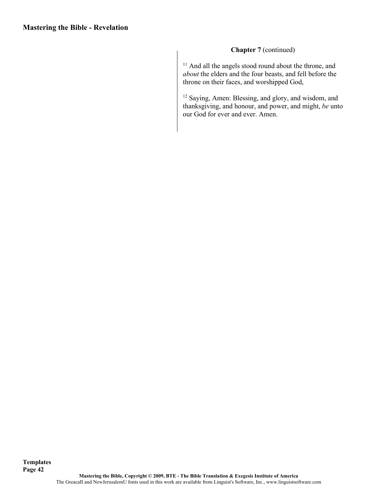## **Chapter 7** (continued)

<sup>11</sup> And all the angels stood round about the throne, and *about* the elders and the four beasts, and fell before the throne on their faces, and worshipped God,

<sup>12</sup> Saying, Amen: Blessing, and glory, and wisdom, and thanksgiving, and honour, and power, and might, *be* unto our God for ever and ever. Amen.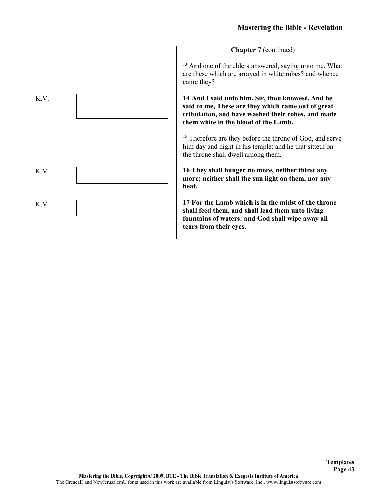**Chapter 7** (continued)

<sup>13</sup> And one of the elders answered, saying unto me, What are these which are arrayed in white robes? and whence came they?

**14 And I said unto him, Sir, thou knowest. And he said to me, These are they which came out of great tribulation, and have washed their robes, and made them white in the blood of the Lamb.**

<sup>15</sup> Therefore are they before the throne of God, and serve him day and night in his temple: and he that sitteth on the throne shall dwell among them.

**16 They shall hunger no more, neither thirst any more; neither shall the sun light on them, nor any heat.**

**17 For the Lamb which is in the midst of the throne shall feed them, and shall lead them unto living fountains of waters: and God shall wipe away all tears from their eyes.**

> **Templates Page 43**

| K.V. |  |
|------|--|
| K.V. |  |
| K.V. |  |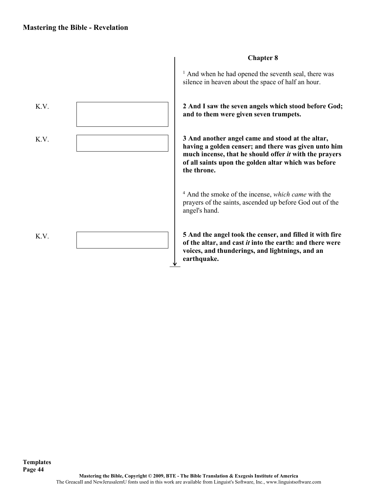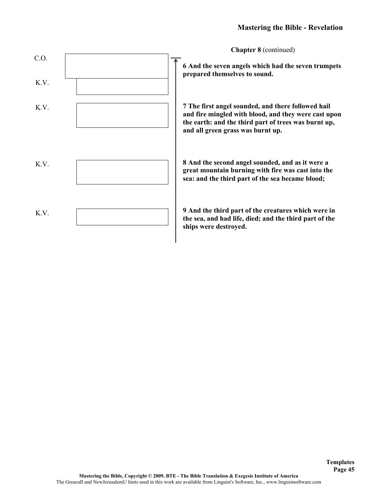

**Templates Page 45**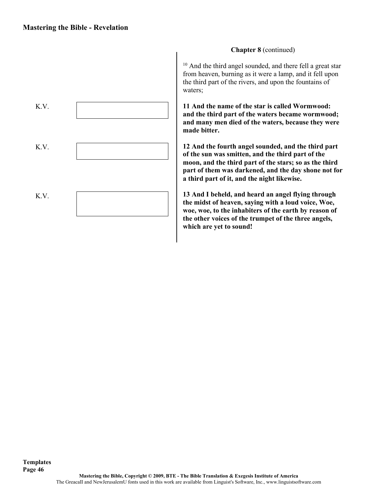

## **Chapter 8** (continued)

<sup>10</sup> And the third angel sounded, and there fell a great star from heaven, burning as it were a lamp, and it fell upon the third part of the rivers, and upon the fountains of waters;

**11 And the name of the star is called Wormwood: and the third part of the waters became wormwood; and many men died of the waters, because they were made bitter.**

**12 And the fourth angel sounded, and the third part of the sun was smitten, and the third part of the moon, and the third part of the stars; so as the third part of them was darkened, and the day shone not for a third part of it, and the night likewise.**

**13 And I beheld, and heard an angel flying through the midst of heaven, saying with a loud voice, Woe, woe, woe, to the inhabiters of the earth by reason of the other voices of the trumpet of the three angels, which are yet to sound!**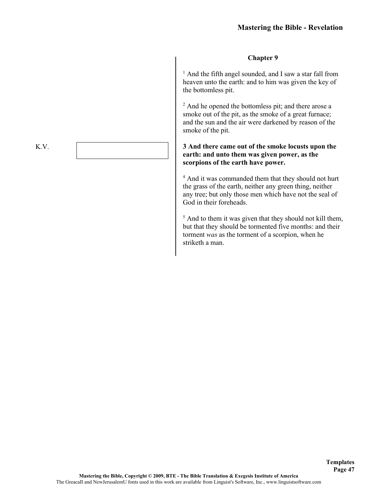#### **Chapter 9**

<sup>1</sup> And the fifth angel sounded, and I saw a star fall from heaven unto the earth: and to him was given the key of the bottomless pit.

<sup>2</sup> And he opened the bottomless pit; and there arose a smoke out of the pit, as the smoke of a great furnace; and the sun and the air were darkened by reason of the smoke of the pit.

#### **3 And there came out of the smoke locusts upon the earth: and unto them was given power, as the scorpions of the earth have power.**

<sup>4</sup> And it was commanded them that they should not hurt the grass of the earth, neither any green thing, neither any tree; but only those men which have not the seal of God in their foreheads.

<sup>5</sup> And to them it was given that they should not kill them, but that they should be tormented five months: and their torment *was* as the torment of a scorpion, when he striketh a man.

K.V.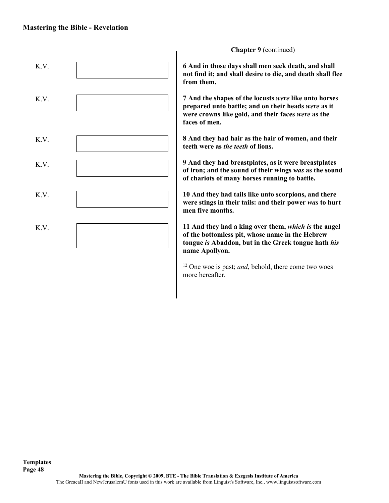

**Chapter 9** (continued)

**6 And in those days shall men seek death, and shall not find it; and shall desire to die, and death shall flee from them.**

**7 And the shapes of the locusts** *were* **like unto horses prepared unto battle; and on their heads** *were* **as it were crowns like gold, and their faces** *were* **as the faces of men.**

**8 And they had hair as the hair of women, and their teeth were as** *the teeth* **of lions.**

**9 And they had breastplates, as it were breastplates of iron; and the sound of their wings** *was* **as the sound of chariots of many horses running to battle.**

**10 And they had tails like unto scorpions, and there were stings in their tails: and their power** *was* **to hurt men five months.**

**11 And they had a king over them,** *which is* **the angel of the bottomless pit, whose name in the Hebrew tongue** *is* **Abaddon, but in the Greek tongue hath** *his*  **name Apollyon.**

<sup>12</sup> One woe is past; *and*, behold, there come two woes more hereafter.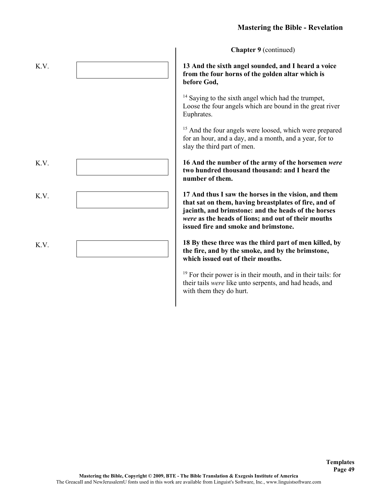**Chapter 9** (continued)

**13 And the sixth angel sounded, and I heard a voice from the four horns of the golden altar which is before God,**

<sup>14</sup> Saying to the sixth angel which had the trumpet, Loose the four angels which are bound in the great river Euphrates.

<sup>15</sup> And the four angels were loosed, which were prepared for an hour, and a day, and a month, and a year, for to slay the third part of men.

**16 And the number of the army of the horsemen** *were*  **two hundred thousand thousand: and I heard the number of them.**

**17 And thus I saw the horses in the vision, and them that sat on them, having breastplates of fire, and of jacinth, and brimstone: and the heads of the horses**  *were* **as the heads of lions; and out of their mouths issued fire and smoke and brimstone.**

**18 By these three was the third part of men killed, by the fire, and by the smoke, and by the brimstone, which issued out of their mouths.**

<sup>19</sup> For their power is in their mouth, and in their tails: for their tails *were* like unto serpents, and had heads, and with them they do hurt.

> **Templates Page 49**

| K.V. |  |
|------|--|
|      |  |
|      |  |
|      |  |
| K.V. |  |
| K.V. |  |
|      |  |
| K.V. |  |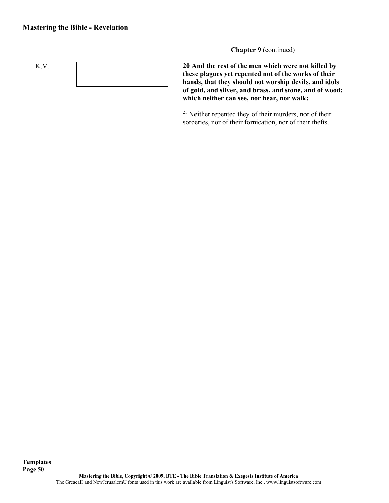## **Mastering the Bible - Revelation**



**Chapter 9** (continued)

**20 And the rest of the men which were not killed by these plagues yet repented not of the works of their hands, that they should not worship devils, and idols of gold, and silver, and brass, and stone, and of wood: which neither can see, nor hear, nor walk:**

<sup>21</sup> Neither repented they of their murders, nor of their sorceries, nor of their fornication, nor of their thefts.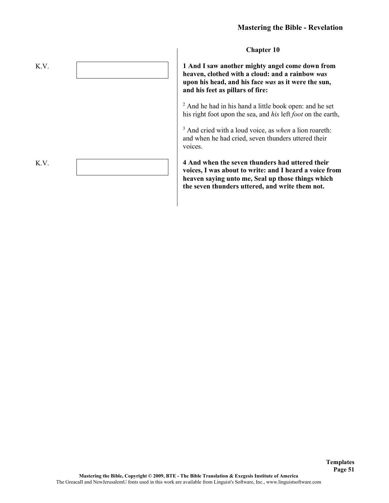

**1 And I saw another mighty angel come down from heaven, clothed with a cloud: and a rainbow** *was*  **upon his head, and his face** *was* **as it were the sun, and his feet as pillars of fire:**

<sup>2</sup> And he had in his hand a little book open: and he set his right foot upon the sea, and *his* left *foot* on the earth,

<sup>3</sup> And cried with a loud voice, as *when* a lion roareth: and when he had cried, seven thunders uttered their voices.

**4 And when the seven thunders had uttered their voices, I was about to write: and I heard a voice from heaven saying unto me, Seal up those things which the seven thunders uttered, and write them not.**

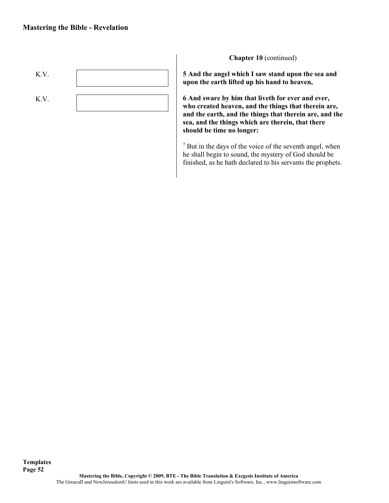

**Chapter 10** (continued)

**5 And the angel which I saw stand upon the sea and upon the earth lifted up his hand to heaven,**

**6 And sware by him that liveth for ever and ever, who created heaven, and the things that therein are, and the earth, and the things that therein are, and the sea, and the things which are therein, that there should be time no longer:**

<sup>7</sup> But in the days of the voice of the seventh angel, when he shall begin to sound, the mystery of God should be finished, as he hath declared to his servants the prophets.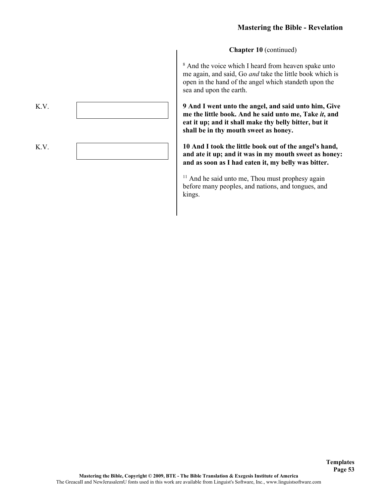**Chapter 10** (continued)

<sup>8</sup> And the voice which I heard from heaven spake unto me again, and said, Go *and* take the little book which is open in the hand of the angel which standeth upon the sea and upon the earth.

**9 And I went unto the angel, and said unto him, Give me the little book. And he said unto me, Take** *it***, and eat it up; and it shall make thy belly bitter, but it shall be in thy mouth sweet as honey.**

**10 And I took the little book out of the angel's hand, and ate it up; and it was in my mouth sweet as honey: and as soon as I had eaten it, my belly was bitter.**

<sup>11</sup> And he said unto me, Thou must prophesy again before many peoples, and nations, and tongues, and kings.

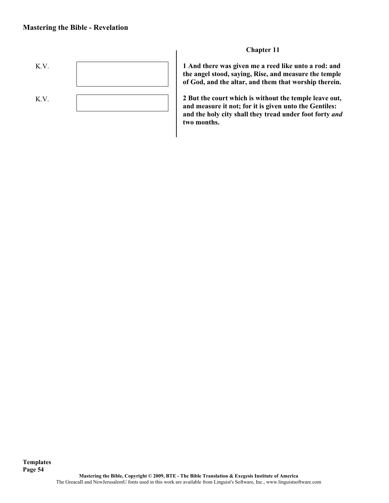

## **Chapter 11**

**1 And there was given me a reed like unto a rod: and the angel stood, saying, Rise, and measure the temple of God, and the altar, and them that worship therein.**

**2 But the court which is without the temple leave out, and measure it not; for it is given unto the Gentiles: and the holy city shall they tread under foot forty** *and*  **two months.**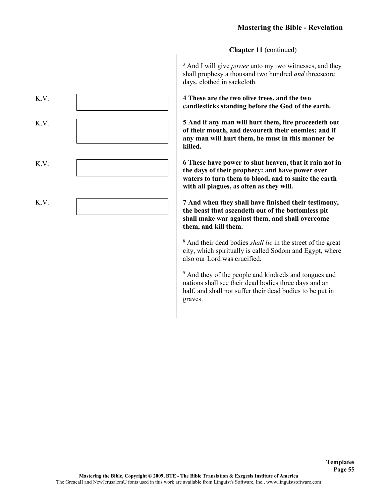**Chapter 11** (continued)

<sup>3</sup> And I will give *power* unto my two witnesses, and they shall prophesy a thousand two hundred *and* threescore days, clothed in sackcloth.

**4 These are the two olive trees, and the two candlesticks standing before the God of the earth.**

**5 And if any man will hurt them, fire proceedeth out of their mouth, and devoureth their enemies: and if any man will hurt them, he must in this manner be killed.**

**6 These have power to shut heaven, that it rain not in the days of their prophecy: and have power over waters to turn them to blood, and to smite the earth with all plagues, as often as they will.**

**7 And when they shall have finished their testimony, the beast that ascendeth out of the bottomless pit shall make war against them, and shall overcome them, and kill them.**

<sup>8</sup> And their dead bodies *shall lie* in the street of the great city, which spiritually is called Sodom and Egypt, where also our Lord was crucified.

<sup>9</sup> And they of the people and kindreds and tongues and nations shall see their dead bodies three days and an half, and shall not suffer their dead bodies to be put in graves.

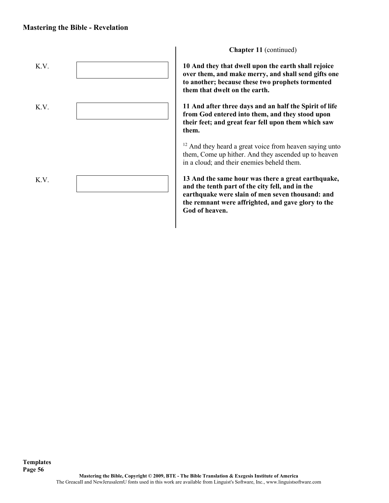#### **Mastering the Bible - Revelation**

**Templates**



**Chapter 11** (continued)

**10 And they that dwell upon the earth shall rejoice over them, and make merry, and shall send gifts one to another; because these two prophets tormented them that dwelt on the earth.**

**11 And after three days and an half the Spirit of life from God entered into them, and they stood upon their feet; and great fear fell upon them which saw them.**

<sup>12</sup> And they heard a great voice from heaven saying unto them, Come up hither. And they ascended up to heaven in a cloud; and their enemies beheld them.

**13 And the same hour was there a great earthquake, and the tenth part of the city fell, and in the earthquake were slain of men seven thousand: and the remnant were affrighted, and gave glory to the God of heaven.**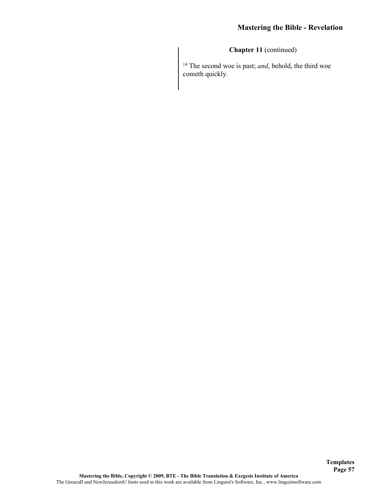**Chapter 11** (continued)

<sup>14</sup> The second woe is past; *and*, behold, the third woe cometh quickly.

**Templates Page 57**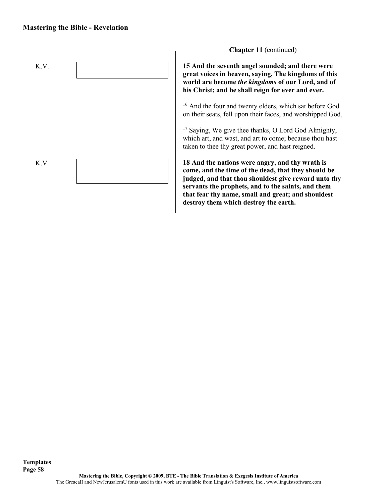#### **Mastering the Bible - Revelation**



**Chapter 11** (continued)

**15 And the seventh angel sounded; and there were great voices in heaven, saying, The kingdoms of this world are become** *the kingdoms* **of our Lord, and of his Christ; and he shall reign for ever and ever.**

<sup>16</sup> And the four and twenty elders, which sat before God on their seats, fell upon their faces, and worshipped God,

<sup>17</sup> Saying, We give thee thanks, O Lord God Almighty, which art, and wast, and art to come; because thou hast taken to thee thy great power, and hast reigned.

**18 And the nations were angry, and thy wrath is come, and the time of the dead, that they should be judged, and that thou shouldest give reward unto thy servants the prophets, and to the saints, and them that fear thy name, small and great; and shouldest destroy them which destroy the earth.**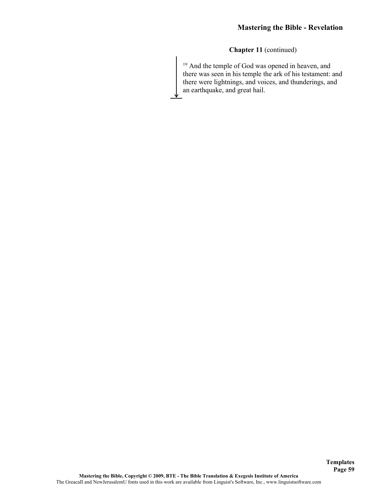## **Chapter 11** (continued)

<sup>19</sup> And the temple of God was opened in heaven, and there was seen in his temple the ark of his testament: and there were lightnings, and voices, and thunderings, and an earthquake, and great hail.

**Templates Page 59**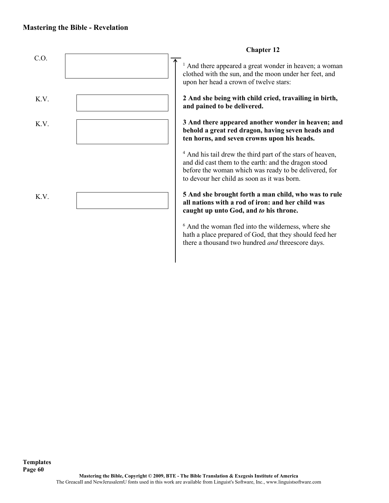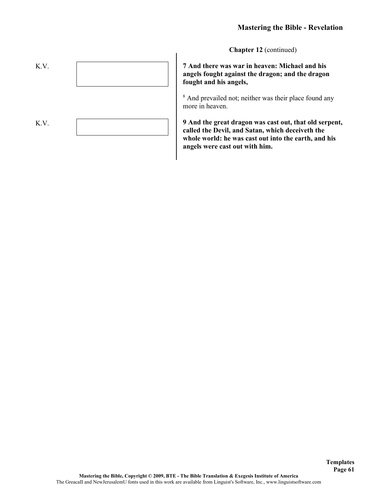**Chapter 12** (continued)

**7 And there was war in heaven: Michael and his angels fought against the dragon; and the dragon fought and his angels,**

<sup>8</sup> And prevailed not; neither was their place found any more in heaven.

**9 And the great dragon was cast out, that old serpent, called the Devil, and Satan, which deceiveth the whole world: he was cast out into the earth, and his angels were cast out with him.**

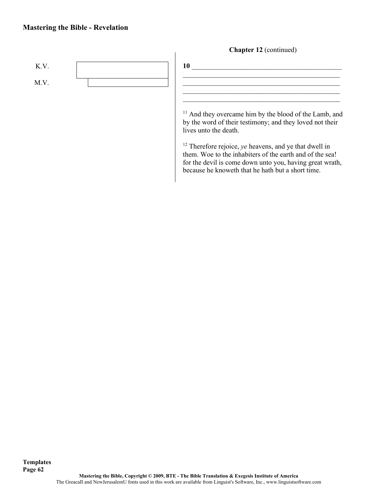## **Mastering the Bible - Revelation**



<sup>12</sup> Therefore rejoice, *ye* heavens, and ye that dwell in them. Woe to the inhabiters of the earth and of the sea! for the devil is come down unto you, having great wrath, because he knoweth that he hath but a short time.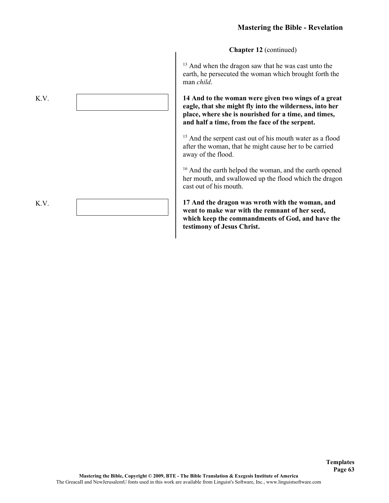**Chapter 12** (continued)

<sup>13</sup> And when the dragon saw that he was cast unto the earth, he persecuted the woman which brought forth the man *child*.

**14 And to the woman were given two wings of a great eagle, that she might fly into the wilderness, into her place, where she is nourished for a time, and times, and half a time, from the face of the serpent.**

<sup>15</sup> And the serpent cast out of his mouth water as a flood after the woman, that he might cause her to be carried away of the flood.

<sup>16</sup> And the earth helped the woman, and the earth opened her mouth, and swallowed up the flood which the dragon cast out of his mouth.

**17 And the dragon was wroth with the woman, and went to make war with the remnant of her seed, which keep the commandments of God, and have the testimony of Jesus Christ.**

> **Templates Page 63**

K.V. K.V.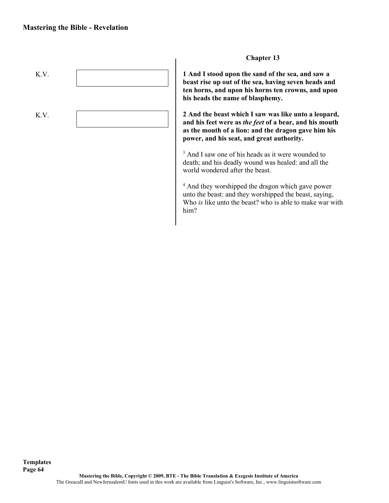

# **Chapter 13**

**1 And I stood upon the sand of the sea, and saw a beast rise up out of the sea, having seven heads and ten horns, and upon his horns ten crowns, and upon his heads the name of blasphemy.**

**2 And the beast which I saw was like unto a leopard, and his feet were as** *the feet* **of a bear, and his mouth as the mouth of a lion: and the dragon gave him his power, and his seat, and great authority.**

<sup>3</sup> And I saw one of his heads as it were wounded to death; and his deadly wound was healed: and all the world wondered after the beast.

<sup>4</sup> And they worshipped the dragon which gave power unto the beast: and they worshipped the beast, saying, Who *is* like unto the beast? who is able to make war with him?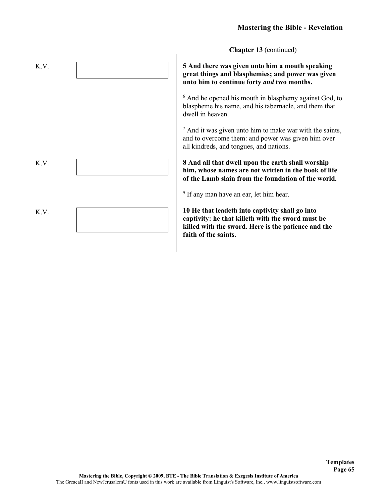**Chapter 13** (continued)

**5 And there was given unto him a mouth speaking great things and blasphemies; and power was given unto him to continue forty** *and* **two months.**

<sup>6</sup> And he opened his mouth in blasphemy against God, to blaspheme his name, and his tabernacle, and them that dwell in heaven.

<sup>7</sup> And it was given unto him to make war with the saints, and to overcome them: and power was given him over all kindreds, and tongues, and nations.

**8 And all that dwell upon the earth shall worship him, whose names are not written in the book of life of the Lamb slain from the foundation of the world.**

<sup>9</sup> If any man have an ear, let him hear.

**10 He that leadeth into captivity shall go into captivity: he that killeth with the sword must be killed with the sword. Here is the patience and the faith of the saints.**

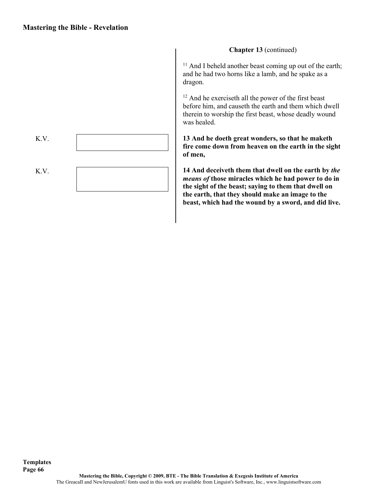K.V. K.V. **Chapter 13** (continued)

 $11$  And I beheld another beast coming up out of the earth; and he had two horns like a lamb, and he spake as a dragon.

<sup>12</sup> And he exerciseth all the power of the first beast before him, and causeth the earth and them which dwell therein to worship the first beast, whose deadly wound was healed.

**13 And he doeth great wonders, so that he maketh fire come down from heaven on the earth in the sight of men,**

**14 And deceiveth them that dwell on the earth by** *the means of* **those miracles which he had power to do in the sight of the beast; saying to them that dwell on the earth, that they should make an image to the beast, which had the wound by a sword, and did live.**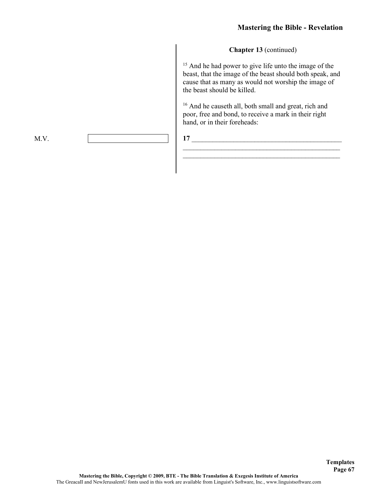#### **Chapter 13** (continued)

<sup>15</sup> And he had power to give life unto the image of the beast, that the image of the beast should both speak, and cause that as many as would not worship the image of the beast should be killed.

<sup>16</sup> And he causeth all, both small and great, rich and poor, free and bond, to receive a mark in their right hand, or in their foreheads:

\_\_\_\_\_\_\_\_\_\_\_\_\_\_\_\_\_\_\_\_\_\_\_\_\_\_\_\_\_\_\_\_\_\_\_\_\_\_\_\_\_\_\_\_\_  $\mathcal{L}_\text{max}$  , and the set of the set of the set of the set of the set of the set of the set of the set of the set of the set of the set of the set of the set of the set of the set of the set of the set of the set of the

# **17** \_\_\_\_\_\_\_\_\_\_\_\_\_\_\_\_\_\_\_\_\_\_\_\_\_\_\_\_\_\_\_\_\_\_\_\_\_\_\_\_\_\_\_

M.V.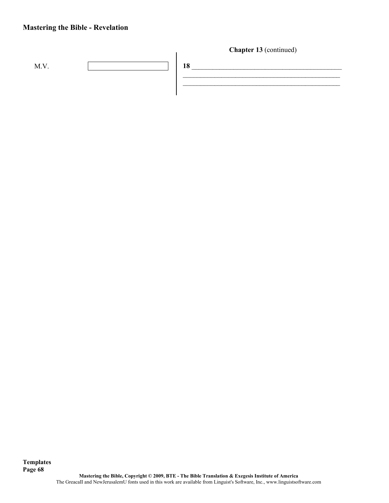# **Mastering the Bible - Revelation**

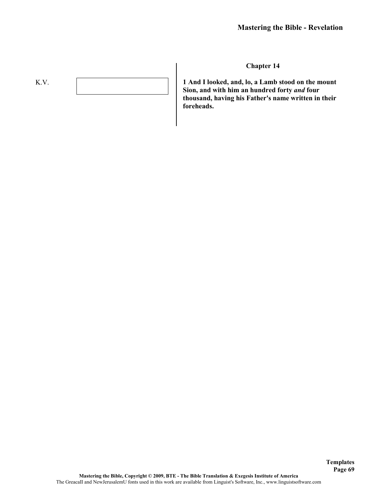# K.V.

#### **Chapter 14**

**1 And I looked, and, lo, a Lamb stood on the mount Sion, and with him an hundred forty** *and* **four thousand, having his Father's name written in their foreheads.**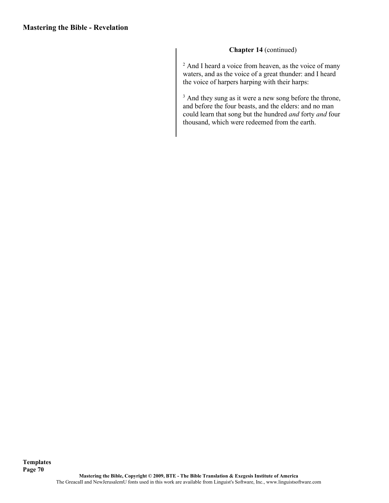## **Chapter 14** (continued)

<sup>2</sup> And I heard a voice from heaven, as the voice of many waters, and as the voice of a great thunder: and I heard the voice of harpers harping with their harps:

<sup>3</sup> And they sung as it were a new song before the throne, and before the four beasts, and the elders: and no man could learn that song but the hundred *and* forty *and* four thousand, which were redeemed from the earth.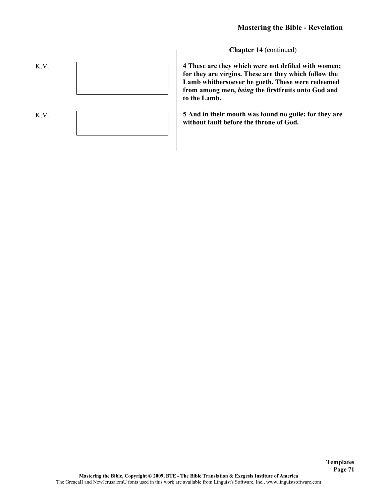**Chapter 14** (continued)



**4 These are they which were not defiled with women; for they are virgins. These are they which follow the Lamb whithersoever he goeth. These were redeemed from among men,** *being* **the firstfruits unto God and to the Lamb.**

**5 And in their mouth was found no guile: for they are without fault before the throne of God.**

**Templates Page 71**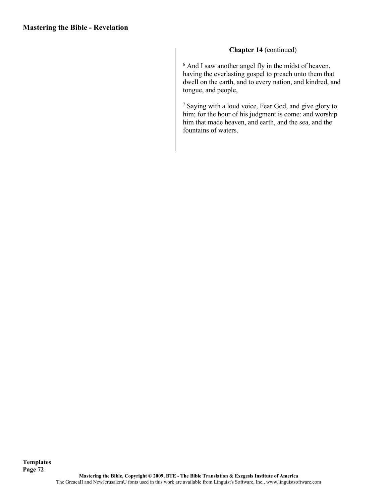#### **Chapter 14** (continued)

<sup>6</sup> And I saw another angel fly in the midst of heaven, having the everlasting gospel to preach unto them that dwell on the earth, and to every nation, and kindred, and tongue, and people,

<sup>7</sup> Saying with a loud voice, Fear God, and give glory to him; for the hour of his judgment is come: and worship him that made heaven, and earth, and the sea, and the fountains of waters.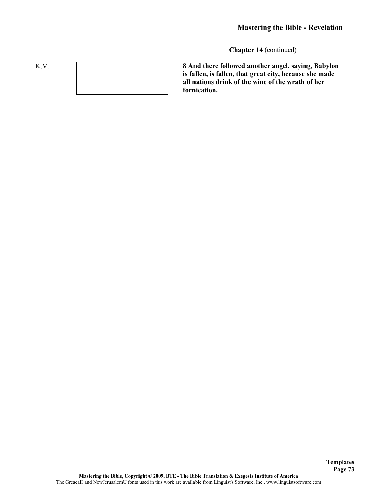K.V.

**8 And there followed another angel, saying, Babylon is fallen, is fallen, that great city, because she made all nations drink of the wine of the wrath of her fornication.**

**Templates Page 73**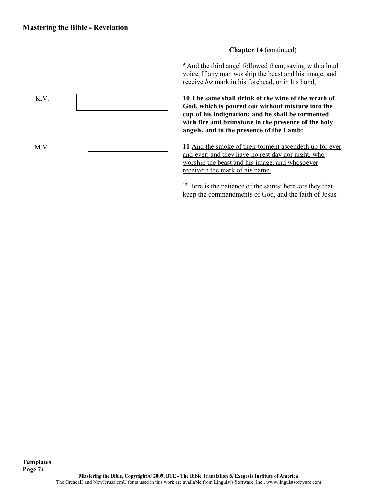

<sup>9</sup> And the third angel followed them, saying with a loud voice, If any man worship the beast and his image, and receive *his* mark in his forehead, or in his hand,

**10 The same shall drink of the wine of the wrath of God, which is poured out without mixture into the cup of his indignation; and he shall be tormented with fire and brimstone in the presence of the holy angels, and in the presence of the Lamb:**

**11** And the smoke of their torment ascendeth up for ever and ever: and they have no rest day nor night, who worship the beast and his image, and whosoever receiveth the mark of his name.

<sup>12</sup> Here is the patience of the saints: here *are* they that keep the commandments of God, and the faith of Jesus.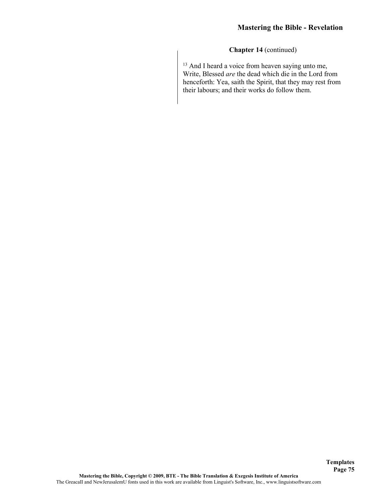$13$  And I heard a voice from heaven saying unto me, Write, Blessed *are* the dead which die in the Lord from henceforth: Yea, saith the Spirit, that they may rest from their labours; and their works do follow them.

**Templates Page 75**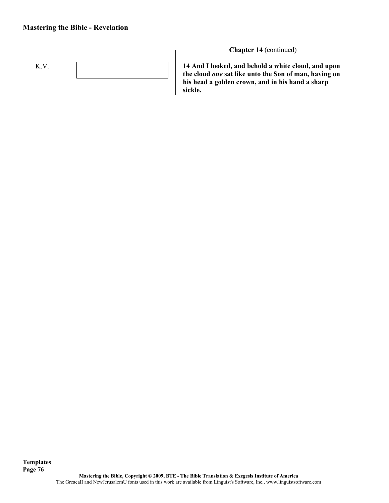

**Chapter 14** (continued)

**14 And I looked, and behold a white cloud, and upon the cloud** *one* **sat like unto the Son of man, having on his head a golden crown, and in his hand a sharp sickle.**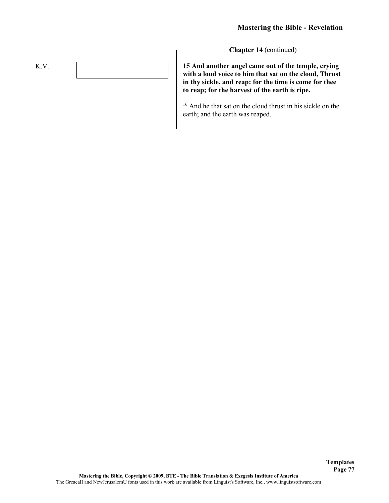**Templates Page 77**

**Chapter 14** (continued)

**15 And another angel came out of the temple, crying with a loud voice to him that sat on the cloud, Thrust in thy sickle, and reap: for the time is come for thee to reap; for the harvest of the earth is ripe.**

<sup>16</sup> And he that sat on the cloud thrust in his sickle on the earth; and the earth was reaped.

K.V.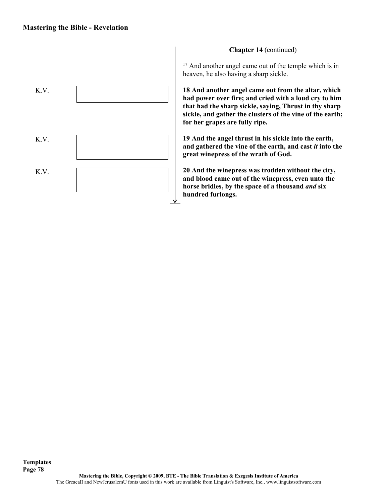

<sup>17</sup> And another angel came out of the temple which is in heaven, he also having a sharp sickle.

**18 And another angel came out from the altar, which had power over fire; and cried with a loud cry to him that had the sharp sickle, saying, Thrust in thy sharp sickle, and gather the clusters of the vine of the earth; for her grapes are fully ripe.**

**19 And the angel thrust in his sickle into the earth, and gathered the vine of the earth, and cast** *it* **into the great winepress of the wrath of God.**

**20 And the winepress was trodden without the city, and blood came out of the winepress, even unto the horse bridles, by the space of a thousand** *and* **six hundred furlongs.**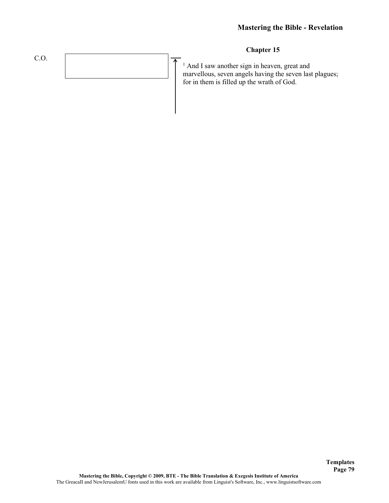

**Templates Page 79**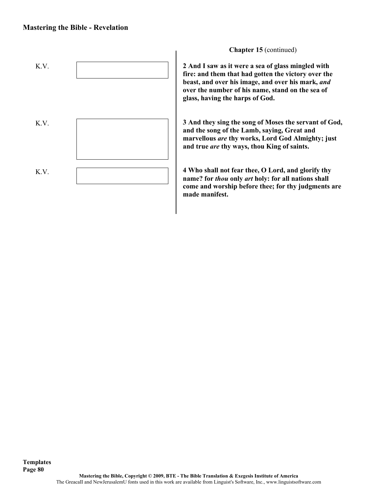

**Chapter 15** (continued)

**2 And I saw as it were a sea of glass mingled with fire: and them that had gotten the victory over the beast, and over his image, and over his mark,** *and*  **over the number of his name, stand on the sea of glass, having the harps of God.**

**3 And they sing the song of Moses the servant of God, and the song of the Lamb, saying, Great and marvellous** *are* **thy works, Lord God Almighty; just and true** *are* **thy ways, thou King of saints.**

**4 Who shall not fear thee, O Lord, and glorify thy name? for** *thou* **only** *art* **holy: for all nations shall come and worship before thee; for thy judgments are made manifest.**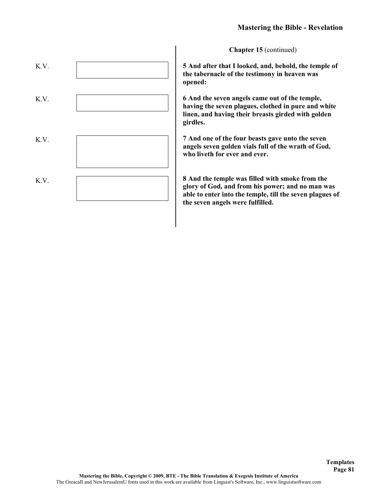

**5 And after that I looked, and, behold, the temple of the tabernacle of the testimony in heaven was opened:**

**6 And the seven angels came out of the temple, having the seven plagues, clothed in pure and white linen, and having their breasts girded with golden girdles.**

**7 And one of the four beasts gave unto the seven angels seven golden vials full of the wrath of God, who liveth for ever and ever.**

**8 And the temple was filled with smoke from the glory of God, and from his power; and no man was able to enter into the temple, till the seven plagues of the seven angels were fulfilled.**

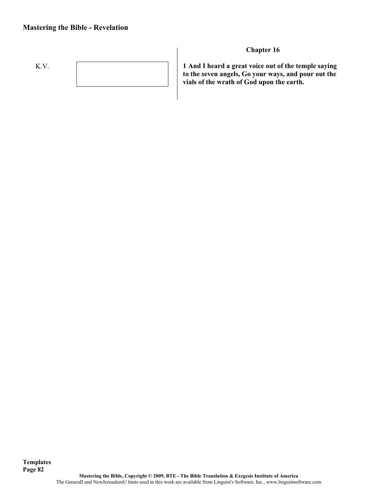

**Chapter 16**

**1 And I heard a great voice out of the temple saying to the seven angels, Go your ways, and pour out the vials of the wrath of God upon the earth.**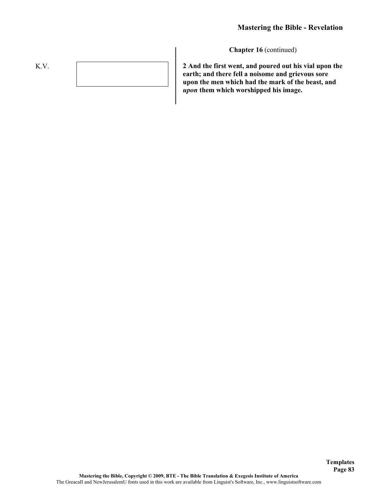

**2 And the first went, and poured out his vial upon the earth; and there fell a noisome and grievous sore upon the men which had the mark of the beast, and**  *upon* **them which worshipped his image.**

**Templates Page 83**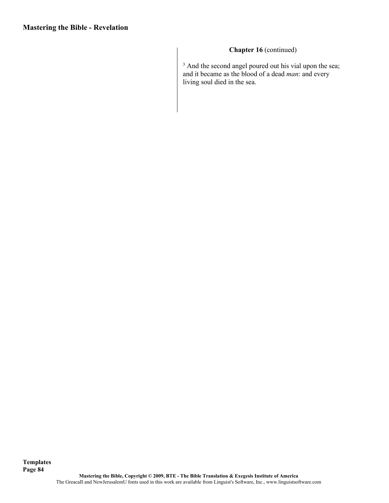**Templates**

# **Chapter 16** (continued)

 $3$  And the second angel poured out his vial upon the sea; and it became as the blood of a dead *man*: and every living soul died in the sea.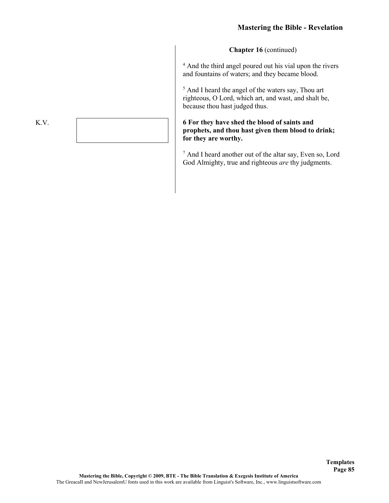<sup>4</sup> And the third angel poured out his vial upon the rivers and fountains of waters; and they became blood.

<sup>5</sup> And I heard the angel of the waters say, Thou art righteous, O Lord, which art, and wast, and shalt be, because thou hast judged thus.

#### **6 For they have shed the blood of saints and prophets, and thou hast given them blood to drink; for they are worthy.**

<sup>7</sup> And I heard another out of the altar say, Even so, Lord God Almighty, true and righteous *are* thy judgments.

#### K.V.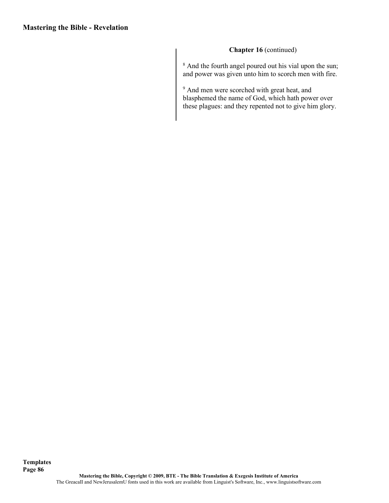<sup>8</sup> And the fourth angel poured out his vial upon the sun; and power was given unto him to scorch men with fire.

<sup>9</sup> And men were scorched with great heat, and blasphemed the name of God, which hath power over these plagues: and they repented not to give him glory.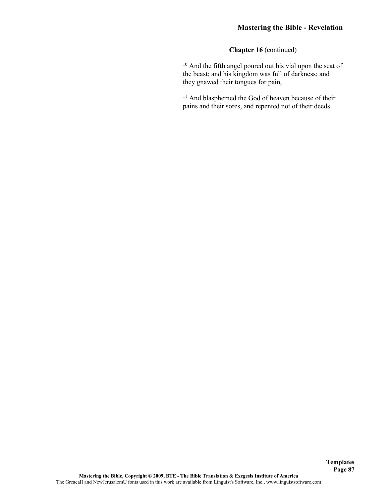<sup>10</sup> And the fifth angel poured out his vial upon the seat of the beast; and his kingdom was full of darkness; and they gnawed their tongues for pain,

<sup>11</sup> And blasphemed the God of heaven because of their pains and their sores, and repented not of their deeds.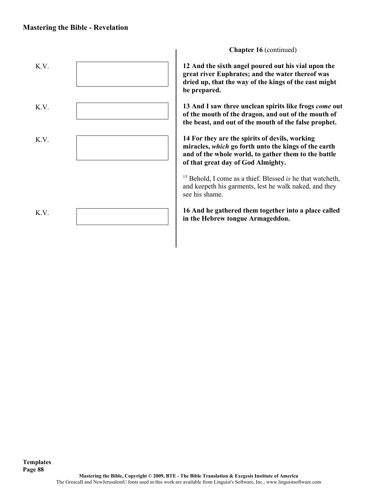

**Chapter 16** (continued)

**12 And the sixth angel poured out his vial upon the great river Euphrates; and the water thereof was dried up, that the way of the kings of the east might** 

**13 And I saw three unclean spirits like frogs** *come* **out of the mouth of the dragon, and out of the mouth of the beast, and out of the mouth of the false prophet.**

**14 For they are the spirits of devils, working miracles,** *which* **go forth unto the kings of the earth and of the whole world, to gather them to the battle of that great day of God Almighty.**

<sup>15</sup> Behold, I come as a thief. Blessed *is* he that watcheth, and keepeth his garments, lest he walk naked, and they

**16 And he gathered them together into a place called in the Hebrew tongue Armageddon.**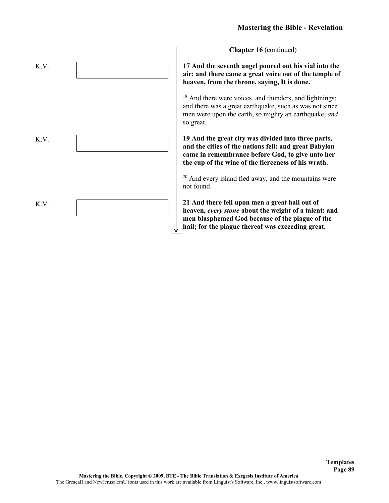**17 And the seventh angel poured out his vial into the air; and there came a great voice out of the temple of heaven, from the throne, saying, It is done.**

<sup>18</sup> And there were voices, and thunders, and lightnings; and there was a great earthquake, such as was not since men were upon the earth, so mighty an earthquake, *and*  so great.

**19 And the great city was divided into three parts, and the cities of the nations fell: and great Babylon came in remembrance before God, to give unto her the cup of the wine of the fierceness of his wrath.**

<sup>20</sup> And every island fled away, and the mountains were not found.

**21 And there fell upon men a great hail out of heaven,** *every stone* **about the weight of a talent: and men blasphemed God because of the plague of the hail; for the plague thereof was exceeding great.**

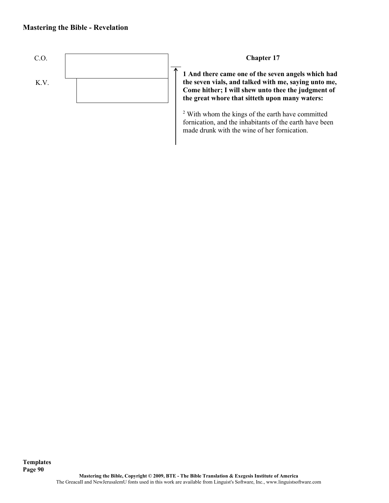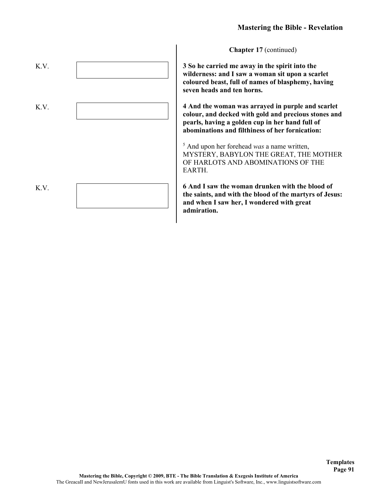**3 So he carried me away in the spirit into the wilderness: and I saw a woman sit upon a scarlet coloured beast, full of names of blasphemy, having seven heads and ten horns.**

**4 And the woman was arrayed in purple and scarlet colour, and decked with gold and precious stones and pearls, having a golden cup in her hand full of abominations and filthiness of her fornication:**

<sup>5</sup> And upon her forehead *was* a name written, MYSTERY, BABYLON THE GREAT, THE MOTHER OF HARLOTS AND ABOMINATIONS OF THE EARTH.

**6 And I saw the woman drunken with the blood of the saints, and with the blood of the martyrs of Jesus: and when I saw her, I wondered with great admiration.**

> **Templates Page 91**

K.V. K.V. K.V.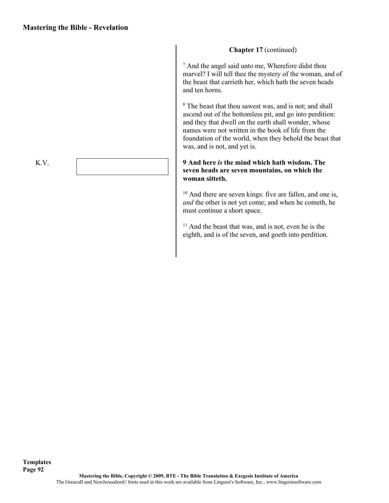$<sup>7</sup>$  And the angel said unto me, Wherefore didst thou</sup> marvel? I will tell thee the mystery of the woman, and of the beast that carrieth her, which hath the seven heads and ten horns.

<sup>8</sup> The beast that thou sawest was, and is not; and shall ascend out of the bottomless pit, and go into perdition: and they that dwell on the earth shall wonder, whose names were not written in the book of life from the foundation of the world, when they behold the beast that was, and is not, and yet is.

#### **9 And here** *is* **the mind which hath wisdom. The seven heads are seven mountains, on which the woman sitteth.**

<sup>10</sup> And there are seven kings: five are fallen, and one is, *and* the other is not yet come; and when he cometh, he must continue a short space.

<sup>11</sup> And the beast that was, and is not, even he is the eighth, and is of the seven, and goeth into perdition.

K.V.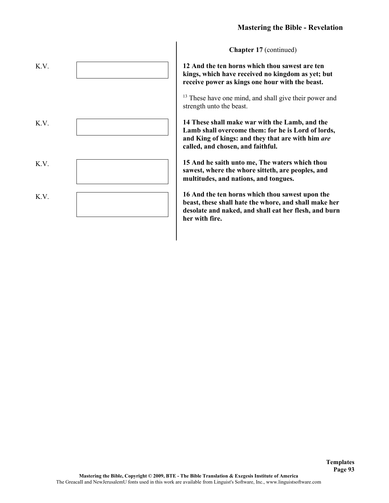**12 And the ten horns which thou sawest are ten kings, which have received no kingdom as yet; but receive power as kings one hour with the beast.**

<sup>13</sup> These have one mind, and shall give their power and strength unto the beast.

**14 These shall make war with the Lamb, and the Lamb shall overcome them: for he is Lord of lords, and King of kings: and they that are with him** *are*  **called, and chosen, and faithful.**

**15 And he saith unto me, The waters which thou sawest, where the whore sitteth, are peoples, and multitudes, and nations, and tongues.**

**16 And the ten horns which thou sawest upon the beast, these shall hate the whore, and shall make her desolate and naked, and shall eat her flesh, and burn her with fire.**

> **Templates Page 93**

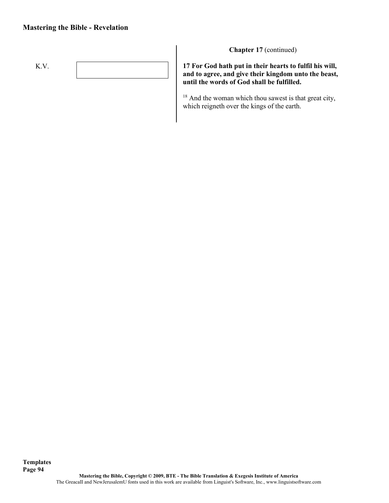

**Chapter 17** (continued)

**17 For God hath put in their hearts to fulfil his will, and to agree, and give their kingdom unto the beast, until the words of God shall be fulfilled.**

<sup>18</sup> And the woman which thou sawest is that great city, which reigneth over the kings of the earth.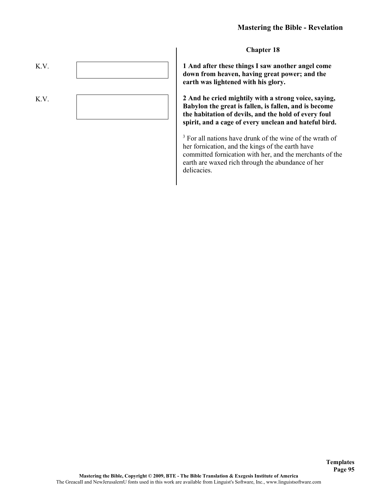**Chapter 18**

**1 And after these things I saw another angel come down from heaven, having great power; and the earth was lightened with his glory.**

**2 And he cried mightily with a strong voice, saying, Babylon the great is fallen, is fallen, and is become the habitation of devils, and the hold of every foul spirit, and a cage of every unclean and hateful bird.**

<sup>3</sup> For all nations have drunk of the wine of the wrath of her fornication, and the kings of the earth have committed fornication with her, and the merchants of the earth are waxed rich through the abundance of her delicacies.

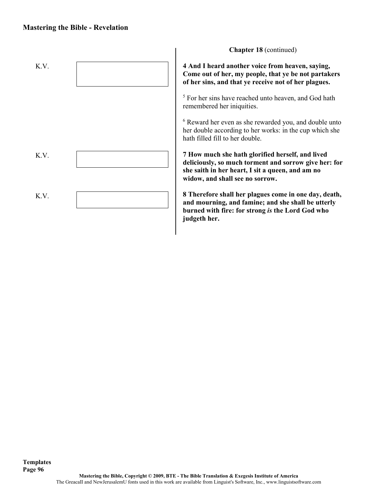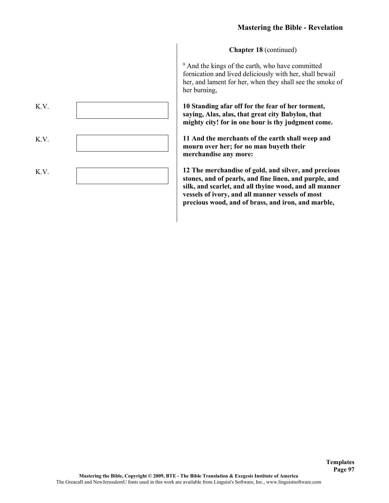<sup>9</sup> And the kings of the earth, who have committed fornication and lived deliciously with her, shall bewail her, and lament for her, when they shall see the smoke of her burning,

**10 Standing afar off for the fear of her torment, saying, Alas, alas, that great city Babylon, that mighty city! for in one hour is thy judgment come.**

**11 And the merchants of the earth shall weep and mourn over her; for no man buyeth their merchandise any more:**

**12 The merchandise of gold, and silver, and precious stones, and of pearls, and fine linen, and purple, and silk, and scarlet, and all thyine wood, and all manner vessels of ivory, and all manner vessels of most precious wood, and of brass, and iron, and marble,**

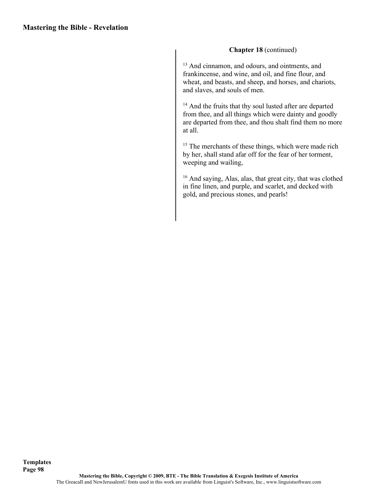<sup>13</sup> And cinnamon, and odours, and ointments, and frankincense, and wine, and oil, and fine flour, and wheat, and beasts, and sheep, and horses, and chariots, and slaves, and souls of men.

<sup>14</sup> And the fruits that thy soul lusted after are departed from thee, and all things which were dainty and goodly are departed from thee, and thou shalt find them no more at all.

<sup>15</sup> The merchants of these things, which were made rich by her, shall stand afar off for the fear of her torment, weeping and wailing,

<sup>16</sup> And saying, Alas, alas, that great city, that was clothed in fine linen, and purple, and scarlet, and decked with gold, and precious stones, and pearls!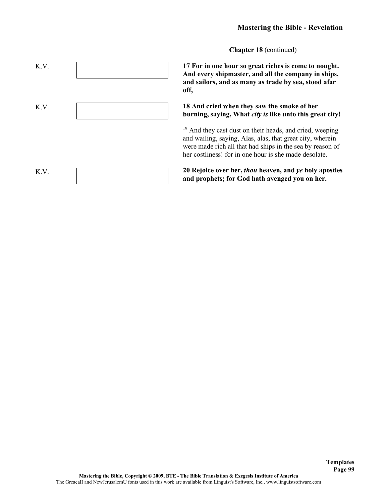**17 For in one hour so great riches is come to nought. And every shipmaster, and all the company in ships, and sailors, and as many as trade by sea, stood afar off,**

**18 And cried when they saw the smoke of her burning, saying, What** *city is* **like unto this great city!**

<sup>19</sup> And they cast dust on their heads, and cried, weeping and wailing, saying, Alas, alas, that great city, wherein were made rich all that had ships in the sea by reason of her costliness! for in one hour is she made desolate.

**20 Rejoice over her,** *thou* **heaven, and** *ye* **holy apostles and prophets; for God hath avenged you on her.**

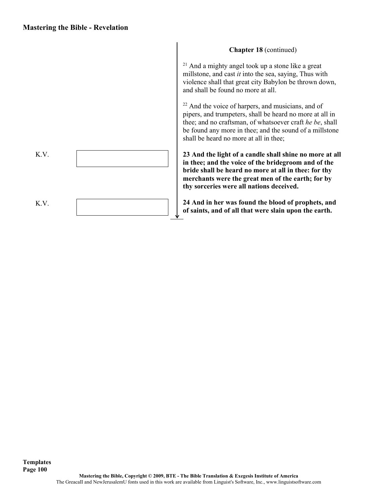K.V. K.V.

 $21$  And a mighty angel took up a stone like a great millstone, and cast *it* into the sea, saying, Thus with violence shall that great city Babylon be thrown down, and shall be found no more at all.

<sup>22</sup> And the voice of harpers, and musicians, and of pipers, and trumpeters, shall be heard no more at all in thee; and no craftsman, of whatsoever craft *he be*, shall be found any more in thee; and the sound of a millstone shall be heard no more at all in thee;

**23 And the light of a candle shall shine no more at all in thee; and the voice of the bridegroom and of the bride shall be heard no more at all in thee: for thy merchants were the great men of the earth; for by thy sorceries were all nations deceived.**

**24 And in her was found the blood of prophets, and of saints, and of all that were slain upon the earth.**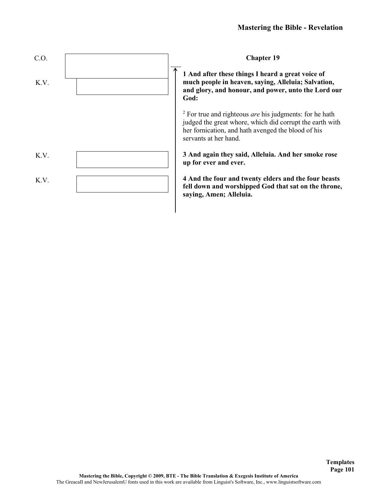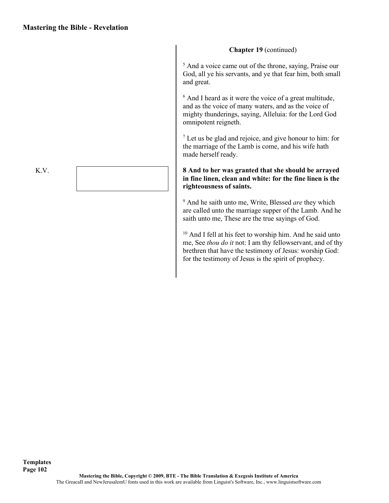<sup>5</sup> And a voice came out of the throne, saying, Praise our God, all ye his servants, and ye that fear him, both small and great.

<sup>6</sup> And I heard as it were the voice of a great multitude, and as the voice of many waters, and as the voice of mighty thunderings, saying, Alleluia: for the Lord God omnipotent reigneth.

<sup>7</sup> Let us be glad and rejoice, and give honour to him: for the marriage of the Lamb is come, and his wife hath made herself ready.

#### **8 And to her was granted that she should be arrayed in fine linen, clean and white: for the fine linen is the righteousness of saints.**

<sup>9</sup> And he saith unto me, Write, Blessed *are* they which are called unto the marriage supper of the Lamb. And he saith unto me, These are the true sayings of God.

<sup>10</sup> And I fell at his feet to worship him. And he said unto me, See *thou do it* not: I am thy fellowservant, and of thy brethren that have the testimony of Jesus: worship God: for the testimony of Jesus is the spirit of prophecy.

K.V.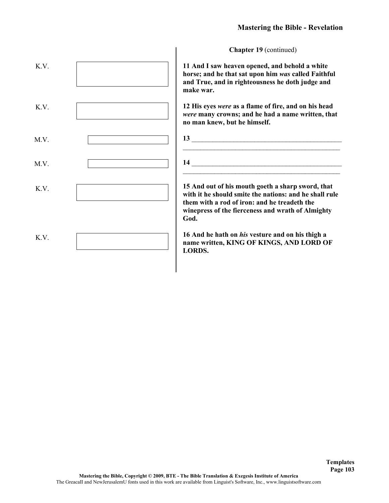**11 And I saw heaven opened, and behold a white horse; and he that sat upon him** *was* **called Faithful and True, and in righteousness he doth judge and make war.**

**12 His eyes** *were* **as a flame of fire, and on his head**  *were* **many crowns; and he had a name written, that no man knew, but he himself.**

| 13 |  |  |  |
|----|--|--|--|
|    |  |  |  |
| 14 |  |  |  |
|    |  |  |  |

**15 And out of his mouth goeth a sharp sword, that with it he should smite the nations: and he shall rule them with a rod of iron: and he treadeth the winepress of the fierceness and wrath of Almighty God.**

**16 And he hath on** *his* **vesture and on his thigh a name written, KING OF KINGS, AND LORD OF LORDS.**

> **Templates Page 103**

K.V. K.V. M.V. M.V. K.V. K.V.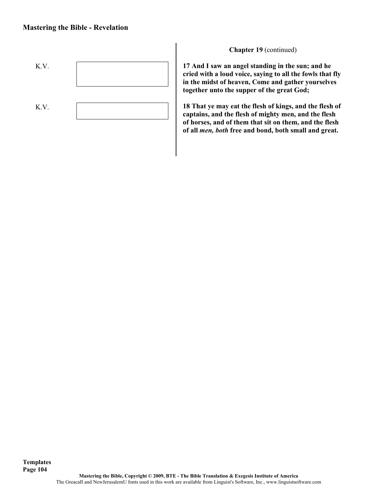

**17 And I saw an angel standing in the sun; and he cried with a loud voice, saying to all the fowls that fly in the midst of heaven, Come and gather yourselves together unto the supper of the great God;**

**18 That ye may eat the flesh of kings, and the flesh of captains, and the flesh of mighty men, and the flesh of horses, and of them that sit on them, and the flesh of all** *men, both* **free and bond, both small and great.**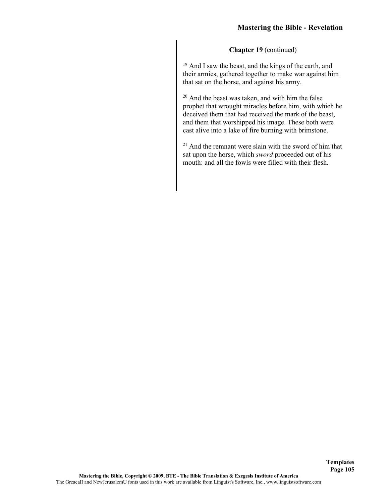<sup>19</sup> And I saw the beast, and the kings of the earth, and their armies, gathered together to make war against him that sat on the horse, and against his army.

<sup>20</sup> And the beast was taken, and with him the false prophet that wrought miracles before him, with which he deceived them that had received the mark of the beast, and them that worshipped his image. These both were cast alive into a lake of fire burning with brimstone.

 $21$  And the remnant were slain with the sword of him that sat upon the horse, which *sword* proceeded out of his mouth: and all the fowls were filled with their flesh.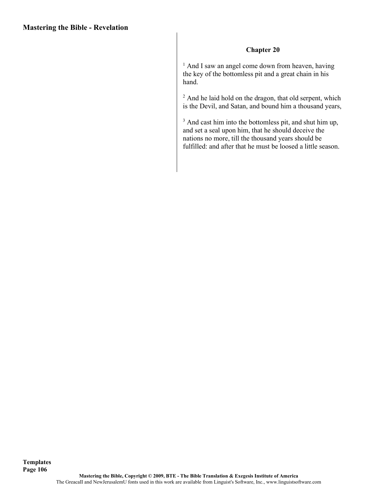## **Chapter 20**

<sup>1</sup> And I saw an angel come down from heaven, having the key of the bottomless pit and a great chain in his hand.

<sup>2</sup> And he laid hold on the dragon, that old serpent, which is the Devil, and Satan, and bound him a thousand years,

<sup>3</sup> And cast him into the bottomless pit, and shut him up, and set a seal upon him, that he should deceive the nations no more, till the thousand years should be fulfilled: and after that he must be loosed a little season.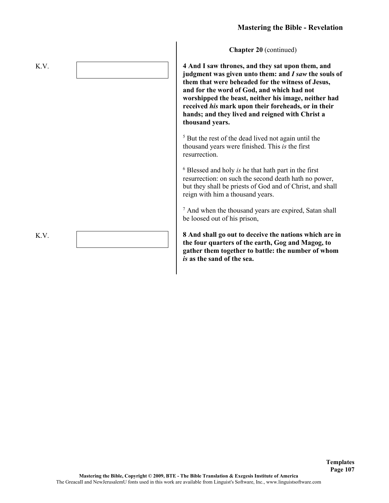**4 And I saw thrones, and they sat upon them, and judgment was given unto them: and** *I saw* **the souls of them that were beheaded for the witness of Jesus, and for the word of God, and which had not worshipped the beast, neither his image, neither had received** *his* **mark upon their foreheads, or in their hands; and they lived and reigned with Christ a thousand years.**

<sup>5</sup> But the rest of the dead lived not again until the thousand years were finished. This *is* the first resurrection.

<sup>6</sup> Blessed and holy *is* he that hath part in the first resurrection: on such the second death hath no power, but they shall be priests of God and of Christ, and shall reign with him a thousand years.

<sup>7</sup> And when the thousand years are expired, Satan shall be loosed out of his prison,

**8 And shall go out to deceive the nations which are in the four quarters of the earth, Gog and Magog, to gather them together to battle: the number of whom**  *is* **as the sand of the sea.**

> **Templates Page 107**

K.V.

K.V.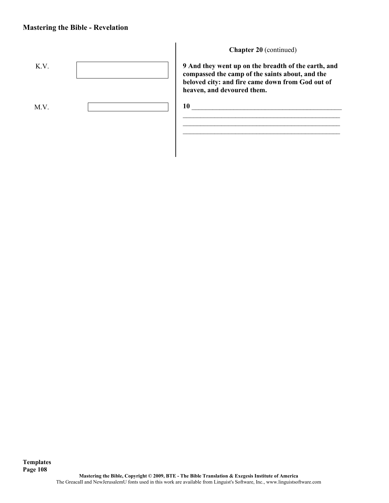

**Chapter 20** (continued)

**9 And they went up on the breadth of the earth, and compassed the camp of the saints about, and the beloved city: and fire came down from God out of heaven, and devoured them.**

\_\_\_\_\_\_\_\_\_\_\_\_\_\_\_\_\_\_\_\_\_\_\_\_\_\_\_\_\_\_\_\_\_\_\_\_\_\_\_\_\_\_\_\_\_  $\mathcal{L}_\text{max}$  and the contract of the contract of the contract of the contract of the contract of the contract of the contract of the contract of the contract of the contract of the contract of the contract of the contrac \_\_\_\_\_\_\_\_\_\_\_\_\_\_\_\_\_\_\_\_\_\_\_\_\_\_\_\_\_\_\_\_\_\_\_\_\_\_\_\_\_\_\_\_\_

**10** \_\_\_\_\_\_\_\_\_\_\_\_\_\_\_\_\_\_\_\_\_\_\_\_\_\_\_\_\_\_\_\_\_\_\_\_\_\_\_\_\_\_\_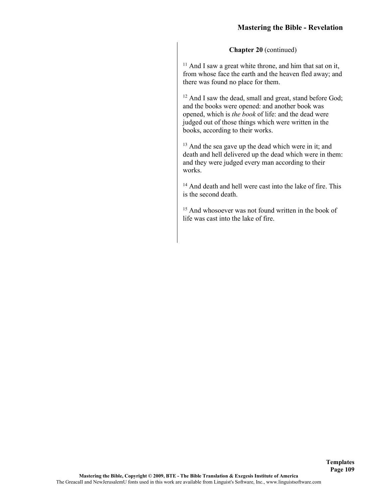$11$  And I saw a great white throne, and him that sat on it, from whose face the earth and the heaven fled away; and there was found no place for them.

<sup>12</sup> And I saw the dead, small and great, stand before God; and the books were opened: and another book was opened, which is *the book* of life: and the dead were judged out of those things which were written in the books, according to their works.

<sup>13</sup> And the sea gave up the dead which were in it; and death and hell delivered up the dead which were in them: and they were judged every man according to their works.

<sup>14</sup> And death and hell were cast into the lake of fire. This is the second death.

<sup>15</sup> And whosoever was not found written in the book of life was cast into the lake of fire.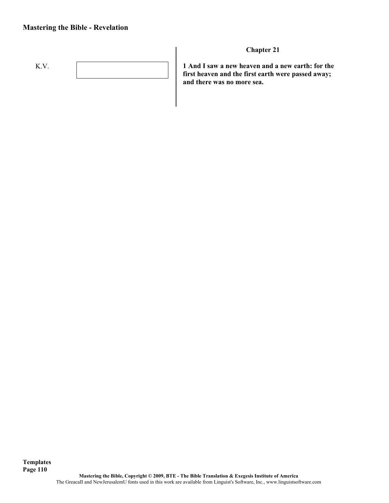# **Mastering the Bible - Revelation**



**Chapter 21**

**1 And I saw a new heaven and a new earth: for the first heaven and the first earth were passed away; and there was no more sea.**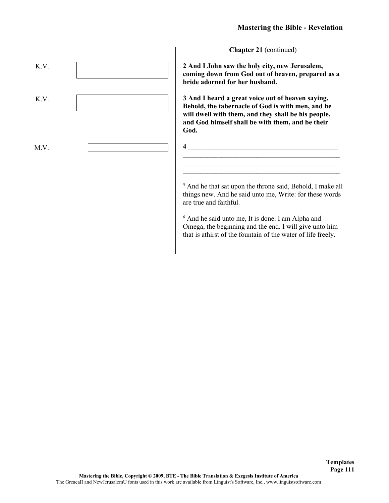**2 And I John saw the holy city, new Jerusalem, coming down from God out of heaven, prepared as a bride adorned for her husband.**

**3 And I heard a great voice out of heaven saying, Behold, the tabernacle of God is with men, and he will dwell with them, and they shall be his people, and God himself shall be with them, and be their God.**

**4** \_\_\_\_\_\_\_\_\_\_\_\_\_\_\_\_\_\_\_\_\_\_\_\_\_\_\_\_\_\_\_\_\_\_\_\_\_\_\_\_\_\_\_

<sup>5</sup> And he that sat upon the throne said, Behold, I make all things new. And he said unto me, Write: for these words are true and faithful.

\_\_\_\_\_\_\_\_\_\_\_\_\_\_\_\_\_\_\_\_\_\_\_\_\_\_\_\_\_\_\_\_\_\_\_\_\_\_\_\_\_\_\_\_\_ \_\_\_\_\_\_\_\_\_\_\_\_\_\_\_\_\_\_\_\_\_\_\_\_\_\_\_\_\_\_\_\_\_\_\_\_\_\_\_\_\_\_\_\_\_

<sup>6</sup> And he said unto me, It is done. I am Alpha and Omega, the beginning and the end. I will give unto him that is athirst of the fountain of the water of life freely.

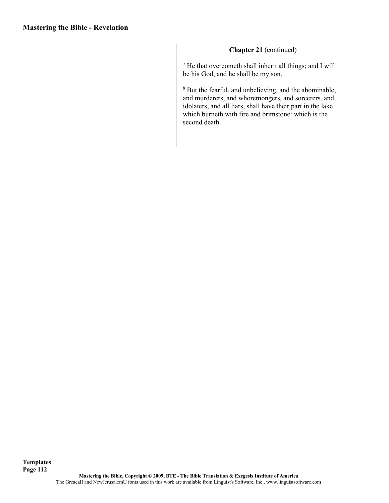<sup>7</sup> He that overcometh shall inherit all things; and I will be his God, and he shall be my son.

<sup>8</sup> But the fearful, and unbelieving, and the abominable, and murderers, and whoremongers, and sorcerers, and idolaters, and all liars, shall have their part in the lake which burneth with fire and brimstone: which is the second death.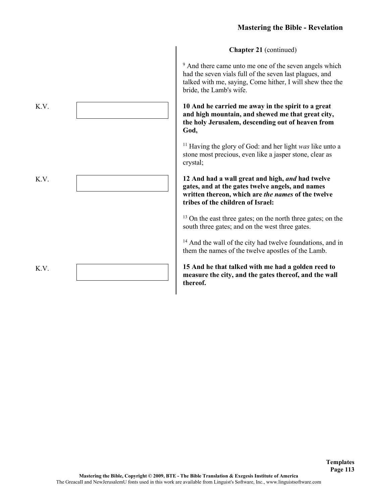<sup>9</sup> And there came unto me one of the seven angels which had the seven vials full of the seven last plagues, and talked with me, saying, Come hither, I will shew thee the bride, the Lamb's wife.

**10 And he carried me away in the spirit to a great and high mountain, and shewed me that great city, the holy Jerusalem, descending out of heaven from God,**

<sup>11</sup> Having the glory of God: and her light *was* like unto a stone most precious, even like a jasper stone, clear as crystal;

**12 And had a wall great and high,** *and* **had twelve gates, and at the gates twelve angels, and names written thereon, which are** *the names* **of the twelve tribes of the children of Israel:**

<sup>13</sup> On the east three gates; on the north three gates; on the south three gates; and on the west three gates.

<sup>14</sup> And the wall of the city had twelve foundations, and in them the names of the twelve apostles of the Lamb.

**15 And he that talked with me had a golden reed to measure the city, and the gates thereof, and the wall thereof.**

> **Templates Page 113**

K.V. K.V. K.V.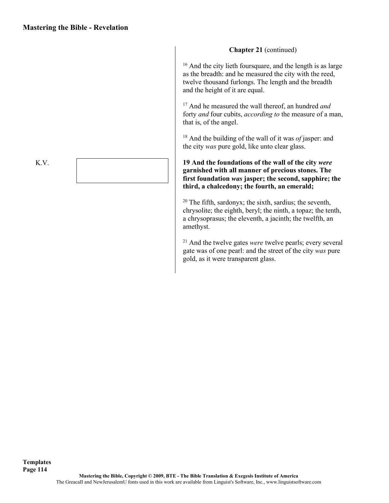<sup>16</sup> And the city lieth foursquare, and the length is as large as the breadth: and he measured the city with the reed, twelve thousand furlongs. The length and the breadth and the height of it are equal.

<sup>17</sup> And he measured the wall thereof, an hundred *and*  forty *and* four cubits, *according to* the measure of a man, that is, of the angel.

<sup>18</sup> And the building of the wall of it was *of* jasper: and the city *was* pure gold, like unto clear glass.

### **19 And the foundations of the wall of the city** *were*  **garnished with all manner of precious stones. The first foundation** *was* **jasper; the second, sapphire; the third, a chalcedony; the fourth, an emerald;**

 $20$  The fifth, sardonyx; the sixth, sardius; the seventh, chrysolite; the eighth, beryl; the ninth, a topaz; the tenth, a chrysoprasus; the eleventh, a jacinth; the twelfth, an amethyst.

<sup>21</sup> And the twelve gates *were* twelve pearls; every several gate was of one pearl: and the street of the city *was* pure gold, as it were transparent glass.

K.V.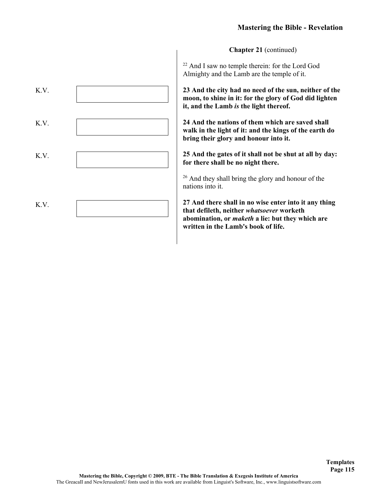<sup>22</sup> And I saw no temple therein: for the Lord God Almighty and the Lamb are the temple of it.

**23 And the city had no need of the sun, neither of the moon, to shine in it: for the glory of God did lighten it, and the Lamb** *is* **the light thereof.**

**24 And the nations of them which are saved shall walk in the light of it: and the kings of the earth do bring their glory and honour into it.**

**25 And the gates of it shall not be shut at all by day: for there shall be no night there.**

<sup>26</sup> And they shall bring the glory and honour of the nations into it.

**27 And there shall in no wise enter into it any thing that defileth, neither** *whatsoever* **worketh abomination, or** *maketh* **a lie: but they which are written in the Lamb's book of life.**

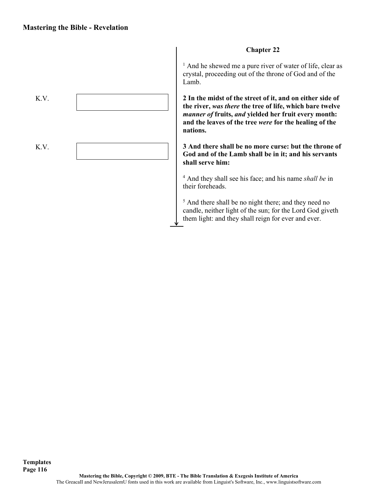

### **Chapter 22**

<sup>1</sup> And he shewed me a pure river of water of life, clear as crystal, proceeding out of the throne of God and of the Lamb.

**2 In the midst of the street of it, and on either side of the river,** *was there* **the tree of life, which bare twelve**  *manner of* **fruits,** *and* **yielded her fruit every month: and the leaves of the tree** *were* **for the healing of the nations.**

**3 And there shall be no more curse: but the throne of God and of the Lamb shall be in it; and his servants shall serve him:**

<sup>4</sup> And they shall see his face; and his name *shall be* in their foreheads.

<sup>5</sup> And there shall be no night there; and they need no candle, neither light of the sun; for the Lord God giveth them light: and they shall reign for ever and ever.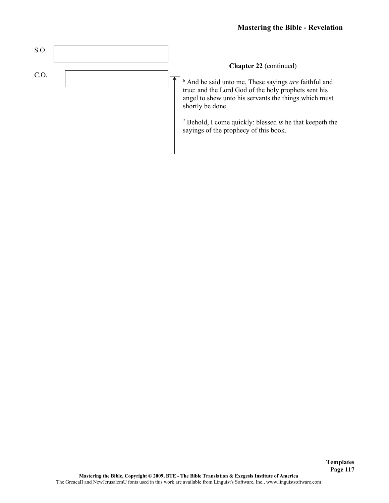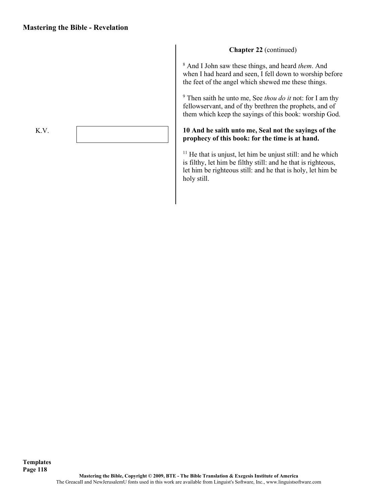<sup>8</sup> And I John saw these things, and heard *them*. And when I had heard and seen, I fell down to worship before the feet of the angel which shewed me these things.

<sup>9</sup> Then saith he unto me, See *thou do it* not: for I am thy fellowservant, and of thy brethren the prophets, and of them which keep the sayings of this book: worship God.

### **10 And he saith unto me, Seal not the sayings of the prophecy of this book: for the time is at hand.**

 $11$  He that is unjust, let him be unjust still: and he which is filthy, let him be filthy still: and he that is righteous, let him be righteous still: and he that is holy, let him be holy still.

**Mastering the Bible, Copyright © 2009, BTE - The Bible Translation & Exegesis Institute of America** The GreacaII and NewJerusalemU fonts used in this work are available from Linguist's Software, Inc., www.linguistsoftware.com

K.V.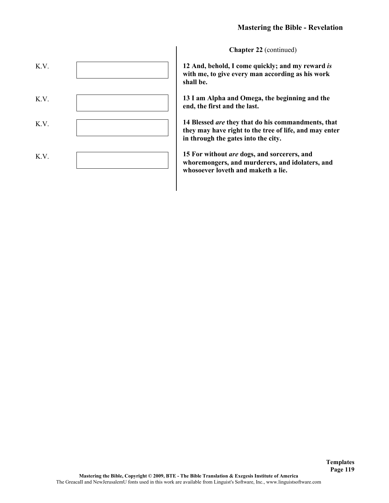

**12 And, behold, I come quickly; and my reward** *is*  **with me, to give every man according as his work shall be.**

**13 I am Alpha and Omega, the beginning and the end, the first and the last.**

**14 Blessed** *are* **they that do his commandments, that they may have right to the tree of life, and may enter in through the gates into the city.**

**15 For without** *are* **dogs, and sorcerers, and whoremongers, and murderers, and idolaters, and whosoever loveth and maketh a lie.**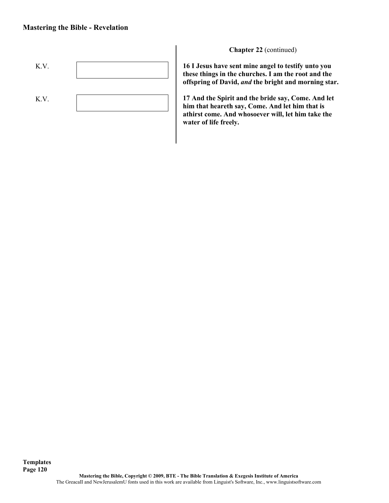

**16 I Jesus have sent mine angel to testify unto you these things in the churches. I am the root and the offspring of David,** *and* **the bright and morning star.**

**17 And the Spirit and the bride say, Come. And let him that heareth say, Come. And let him that is athirst come. And whosoever will, let him take the water of life freely.**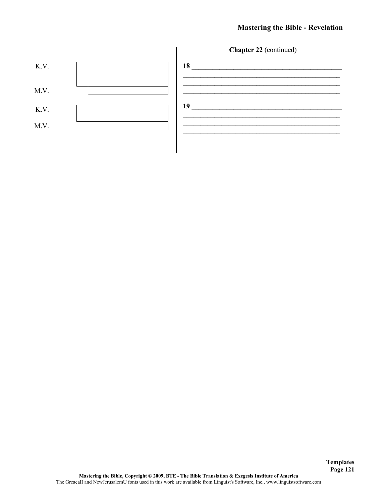